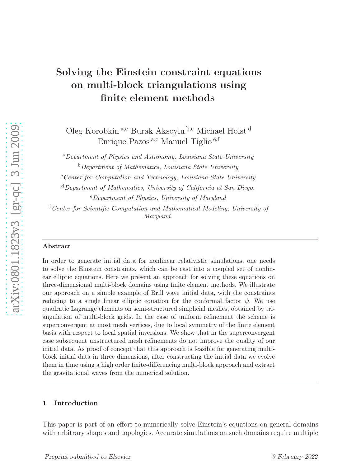# Solving the Einstein constraint equations on multi-block triangulations using finite element methods

Oleg Korobkin a,c Burak Aksoylu b,c Michael Holst d Enrique Pazos<sup>a, c</sup> Manuel Tiglio<sup>e, f</sup>

<sup>a</sup>Department of Physics and Astronomy, Louisiana State University  $b$ Department of Mathematics, Louisiana State University

 $c$ <sup>c</sup>Center for Computation and Technology, Louisiana State University

 $d$ Department of Mathematics, University of California at San Diego.

<sup>e</sup>Department of Physics, University of Maryland

 ${}^{\text{f}}$  Center for Scientific Computation and Mathematical Modeling, University of Maryland.

#### Abstract

In order to generate initial data for nonlinear relativistic simulations, one needs to solve the Einstein constraints, which can be cast into a coupled set of nonlinear elliptic equations. Here we present an approach for solving these equations on three-dimensional multi-block domains using finite element methods. We illustrate our approach on a simple example of Brill wave initial data, with the constraints reducing to a single linear elliptic equation for the conformal factor  $\psi$ . We use quadratic Lagrange elements on semi-structured simplicial meshes, obtained by triangulation of multi-block grids. In the case of uniform refinement the scheme is superconvergent at most mesh vertices, due to local symmetry of the finite element basis with respect to local spatial inversions. We show that in the superconvergent case subsequent unstructured mesh refinements do not improve the quality of our initial data. As proof of concept that this approach is feasible for generating multiblock initial data in three dimensions, after constructing the initial data we evolve them in time using a high order finite-differencing multi-block approach and extract the gravitational waves from the numerical solution.

#### 1 Introduction

This paper is part of an effort to numerically solve Einstein's equations on general domains with arbitrary shapes and topologies. Accurate simulations on such domains require multiple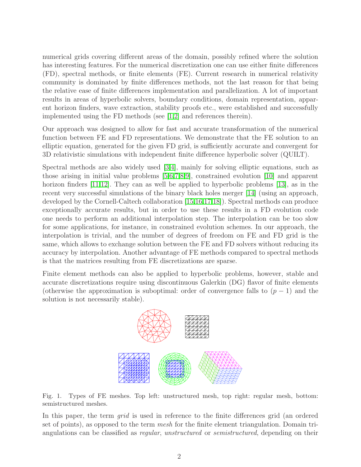numerical grids covering different areas of the domain, possibly refined where the solution has interesting features. For the numerical discretization one can use either finite differences (FD), spectral methods, or finite elements (FE). Current research in numerical relativity community is dominated by finite differences methods, not the last reason for that being the relative ease of finite differences implementation and parallelization. A lot of important results in areas of hyperbolic solvers, boundary conditions, domain representation, apparent horizon finders, wave extraction, stability proofs etc., were established and successfully implemented using the FD methods (see [\[1,](#page-28-0)[2\]](#page-28-1) and references therein).

Our approach was designed to allow for fast and accurate transformation of the numerical function between FE and FD representations. We demonstrate that the FE solution to an elliptic equation, generated for the given FD grid, is sufficiently accurate and convergent for 3D relativistic simulations with independent finite difference hyperbolic solver (QUILT).

Spectral methods are also widely used [\[3,](#page-28-2)[4\]](#page-28-3), mainly for solving elliptic equations, such as those arising in initial value problems [\[5](#page-28-4)[,6,](#page-28-5)[7](#page-28-6)[,8,](#page-28-7)[9\]](#page-28-8), constrained evolution [\[10\]](#page-28-9) and apparent horizon finders [\[11,](#page-28-10)[12\]](#page-28-11). They can as well be applied to hyperbolic problems [\[13\]](#page-28-12), as in the recent very successful simulations of the binary black holes merger [\[14\]](#page-28-13) (using an approach, developed by the Cornell-Caltech collaboration [\[15](#page-28-14)[,16](#page-28-15)[,17](#page-29-0)[,18\]](#page-29-1)). Spectral methods can produce exceptionally accurate results, but in order to use these results in a FD evolution code one needs to perform an additional interpolation step. The interpolation can be too slow for some applications, for instance, in constrained evolution schemes. In our approach, the interpolation is trivial, and the number of degrees of freedom on FE and FD grid is the same, which allows to exchange solution between the FE and FD solvers without reducing its accuracy by interpolation. Another advantage of FE methods compared to spectral methods is that the matrices resulting from FE discretizations are sparse.

Finite element methods can also be applied to hyperbolic problems, however, stable and accurate discretizations require using discontinuous Galerkin (DG) flavor of finite elements (otherwise the approximation is suboptimal: order of convergence falls to  $(p-1)$  and the solution is not necessarily stable).



<span id="page-1-0"></span>Fig. 1. Types of FE meshes. Top left: unstructured mesh, top right: regular mesh, bottom: semistructured meshes.

In this paper, the term grid is used in reference to the finite differences grid (an ordered set of points), as opposed to the term mesh for the finite element triangulation. Domain triangulations can be classified as regular, unstructured or semistructured, depending on their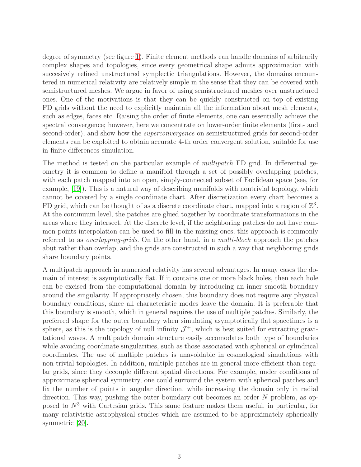degree of symmetry (see figure [1\)](#page-1-0). Finite element methods can handle domains of arbitrarily complex shapes and topologies, since every geometrical shape admits approximation with succesively refined unstructured symplectic triangulations. However, the domains encountered in numerical relativity are relatively simple in the sense that they can be covered with semistructured meshes. We argue in favor of using semistructured meshes over unstructured ones. One of the motivations is that they can be quickly constructed on top of existing FD grids without the need to explicitly maintain all the information about mesh elements, such as edges, faces etc. Raising the order of finite elements, one can essentially achieve the spectral convergence; however, here we concentrate on lower-order finite elements (first- and second-order), and show how the superconvergence on semistructured grids for second-order elements can be exploited to obtain accurate 4-th order convergent solution, suitable for use in finite differences simulation.

The method is tested on the particular example of multipatch FD grid. In differential geometry it is common to define a manifold through a set of possibly overlapping patches, with each patch mapped into an open, simply-connected subset of Euclidean space (see, for example, [\[19\]](#page-29-2)). This is a natural way of describing manifolds with nontrivial topology, which cannot be covered by a single coordinate chart. After discretization every chart becomes a FD grid, which can be thought of as a discrete coordinate chart, mapped into a region of  $\mathbb{Z}^3$ . At the continuum level, the patches are glued together by coordinate transformations in the areas where they intersect. At the discrete level, if the neighboring patches do not have common points interpolation can be used to fill in the missing ones; this approach is commonly referred to as *overlapping-grids*. On the other hand, in a *multi-block* approach the patches abut rather than overlap, and the grids are constructed in such a way that neighboring grids share boundary points.

A multipatch approach in numerical relativity has several advantages. In many cases the domain of interest is asymptotically flat. If it contains one or more black holes, then each hole can be excised from the computational domain by introducing an inner smooth boundary around the singularity. If appropriately chosen, this boundary does not require any physical boundary conditions, since all characteristic modes leave the domain. It is preferable that this boundary is smooth, which in general requires the use of multiple patches. Similarly, the preferred shape for the outer boundary when simulating asymptotically flat spacetimes is a sphere, as this is the topology of null infinity  $\mathcal{J}^+$ , which is best suited for extracting gravitational waves. A multipatch domain structure easily accomodates both type of boundaries while avoiding coordinate singularities, such as those associated with spherical or cylindrical coordinates. The use of multiple patches is unavoidable in cosmological simulations with non-trivial topologies. In addition, multiple patches are in general more efficient than regular grids, since they decouple different spatial directions. For example, under conditions of approximate spherical symmetry, one could surround the system with spherical patches and fix the number of points in angular direction, while increasing the domain only in radial direction. This way, pushing the outer boundary out becomes an order N problem, as opposed to  $N^3$  with Cartesian grids. This same feature makes them useful, in particular, for many relativistic astrophysical studies which are assumed to be approximately spherically symmetric [\[20\]](#page-29-3).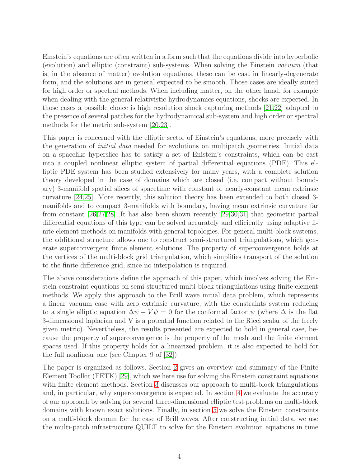Einstein's equations are often written in a form such that the equations divide into hyperbolic (evolution) and elliptic (constraint) sub-systems. When solving the Einstein vacuum (that is, in the absence of matter) evolution equations, these can be cast in linearly-degenerate form, and the solutions are in general expected to be smooth. Those cases are ideally suited for high order or spectral methods. When including matter, on the other hand, for example when dealing with the general relativistic hydrodynamics equations, shocks are expected. In those cases a possible choice is high resolution shock capturing methods [\[21](#page-29-4)[,22\]](#page-29-5) adapted to the presence of several patches for the hydrodynamical sub-system and high order or spectral methods for the metric sub-system [\[20](#page-29-3)[,23\]](#page-29-6).

This paper is concerned with the elliptic sector of Einstein's equations, more precisely with the generation of initial data needed for evolutions on multipatch geometries. Initial data on a spacelike hyperslice has to satisfy a set of Enistein's constraints, which can be cast into a coupled nonlinear elliptic system of partial differential equations (PDE). This elliptic PDE system has been studied extensively for many years, with a complete solution theory developed in the case of domains which are closed (i.e. compact without boundary) 3-manifold spatial slices of spacetime with constant or nearly-constant mean extrinsic curvature [\[24](#page-29-7)[,25\]](#page-29-8). More recently, this solution theory has been extended to both closed 3 manifolds and to compact 3-manifolds with boundary, having mean extrinsic curvature far from constant [\[26,](#page-29-9)[27](#page-29-10)[,28\]](#page-29-11). It has also been shown recently [\[29](#page-29-12)[,30](#page-29-13)[,31\]](#page-29-14) that geometric partial differential equations of this type can be solved accurately and efficiently using adaptive finite element methods on manifolds with general topologies. For general multi-block systems, the additional structure allows one to construct semi-structured triangulations, which generate superconvergent finite element solutions. The property of superconvergence holds at the vertices of the multi-block grid triangulation, which simplifies transport of the solution to the finite difference grid, since no interpolation is required.

The above considerations define the approach of this paper, which involves solving the Einstein constraint equations on semi-structured multi-block triangulations using finite element methods. We apply this approach to the Brill wave initial data problem, which represents a linear vacuum case with zero extrinsic curvature, with the constraints system reducing to a single elliptic equation  $\Delta \psi - V \psi = 0$  for the conformal factor  $\psi$  (where  $\Delta$  is the flat 3-dimensional laplacian and V is a potential function related to the Ricci scalar of the freely given metric). Nevertheless, the results presented are expected to hold in general case, because the property of superconvergence is the property of the mesh and the finite element spaces used. If this property holds for a linearized problem, it is also expected to hold for the full nonlinear one (see Chapter 9 of [\[32\]](#page-29-15)).

The paper is organized as follows. Section [2](#page-4-0) gives an overview and summary of the Finite Element Toolkit (FETK) [\[29\]](#page-29-12), which we here use for solving the Einstein constraint equations with finite element methods. Section [3](#page-6-0) discusses our approach to multi-block triangulations and, in particular, why superconvergence is expected. In section [4](#page-9-0) we evaluate the accuracy of our approach by solving for several three-dimensional elliptic test problems on multi-block domains with known exact solutions. Finally, in section [5](#page-20-0) we solve the Einstein constraints on a multi-block domain for the case of Brill waves. After constructing initial data, we use the multi-patch infrastructure QUILT to solve for the Einstein evolution equations in time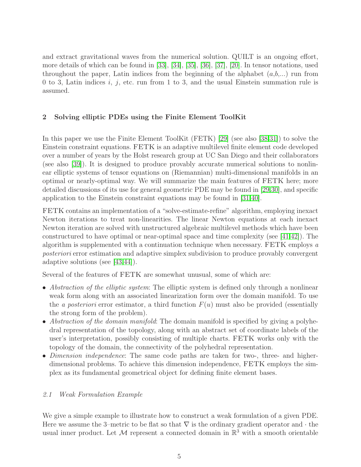and extract gravitational waves from the numerical solution. QUILT is an ongoing effort, more details of which can be found in [\[33\]](#page-30-0), [\[34\]](#page-30-1), [\[35\]](#page-30-2), [\[36\]](#page-30-3), [\[37\]](#page-30-4), [\[20\]](#page-29-3). In tensor notations, used throughout the paper, Latin indices from the beginning of the alphabet  $(a,b,...)$  run from 0 to 3, Latin indices i, j, etc. run from 1 to 3, and the usual Einstein summation rule is assumed.

# <span id="page-4-0"></span>2 Solving elliptic PDEs using the Finite Element ToolKit

In this paper we use the Finite Element ToolKit (FETK) [\[29\]](#page-29-12) (see also [\[38](#page-30-5)[,31\]](#page-29-14)) to solve the Einstein constraint equations. FETK is an adaptive multilevel finite element code developed over a number of years by the Holst research group at UC San Diego and their collaborators (see also [\[39\]](#page-30-6)). It is designed to produce provably accurate numerical solutions to nonlinear elliptic systems of tensor equations on (Riemannian) multi-dimensional manifolds in an optimal or nearly-optimal way. We will summarize the main features of FETK here; more detailed discussions of its use for general geometric PDE may be found in [\[29,](#page-29-12)[30\]](#page-29-13), and specific application to the Einstein constraint equations may be found in [\[31,](#page-29-14)[40\]](#page-30-7).

FETK contains an implementation of a "solve-estimate-refine" algorithm, employing inexact Newton iterations to treat non-linearities. The linear Newton equations at each inexact Newton iteration are solved with unstructured algebraic multilevel methods which have been constructured to have optimal or near-optimal space and time complexity (see [\[41](#page-30-8)[,42\]](#page-30-9)). The algorithm is supplemented with a continuation technique when necessary. FETK employs a posteriori error estimation and adaptive simplex subdivision to produce provably convergent adaptive solutions (see [\[43,](#page-30-10)[44\]](#page-30-11)).

Several of the features of FETK are somewhat unusual, some of which are:

- Abstraction of the elliptic system: The elliptic system is defined only through a nonlinear weak form along with an associated linearization form over the domain manifold. To use the a posteriori error estimator, a third function  $F(u)$  must also be provided (essentially the strong form of the problem).
- Abstraction of the domain manifold: The domain manifold is specified by giving a polyhedral representation of the topology, along with an abstract set of coordinate labels of the user's interpretation, possibly consisting of multiple charts. FETK works only with the topology of the domain, the connectivity of the polyhedral representation.
- Dimension independence: The same code paths are taken for two-, three- and higherdimensional problems. To achieve this dimension independence, FETK employs the simplex as its fundamental geometrical object for defining finite element bases.

# <span id="page-4-1"></span>2.1 Weak Formulation Example

We give a simple example to illustrate how to construct a weak formulation of a given PDE. Here we assume the 3–metric to be flat so that  $\nabla$  is the ordinary gradient operator and  $\cdot$  the usual inner product. Let  $\mathcal M$  represent a connected domain in  $\mathbb R^3$  with a smooth orientable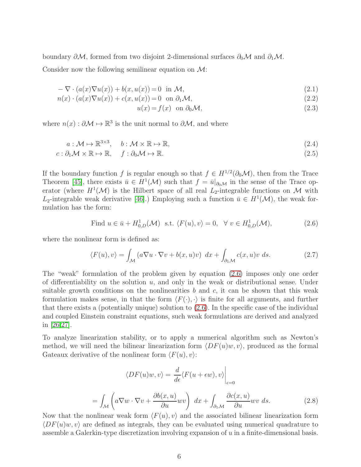boundary  $\partial \mathcal{M}$ , formed from two disjoint 2-dimensional surfaces  $\partial_0 \mathcal{M}$  and  $\partial_1 \mathcal{M}$ . Consider now the following semilinear equation on  $\mathcal{M}$ :

$$
-\nabla \cdot (a(x)\nabla u(x)) + b(x, u(x)) = 0 \text{ in } \mathcal{M}, \qquad (2.1)
$$

$$
n(x) \cdot (a(x)\nabla u(x)) + c(x, u(x)) = 0 \quad \text{on } \partial_1 \mathcal{M}, \tag{2.2}
$$

$$
u(x) = f(x) \quad \text{on } \partial_0 \mathcal{M}, \tag{2.3}
$$

where  $n(x): \partial \mathcal{M} \mapsto \mathbb{R}^3$  is the unit normal to  $\partial \mathcal{M}$ , and where

$$
a: \mathcal{M} \mapsto \mathbb{R}^{3 \times 3}, \quad b: \mathcal{M} \times \mathbb{R} \mapsto \mathbb{R}, \tag{2.4}
$$

$$
c: \partial_1 \mathcal{M} \times \mathbb{R} \mapsto \mathbb{R}, \quad f: \partial_0 \mathcal{M} \mapsto \mathbb{R}.
$$

If the boundary function f is regular enough so that  $f \in H^{1/2}(\partial_0 \mathcal{M})$ , then from the Trace Theorem [\[45\]](#page-30-12), there exists  $\bar{u} \in H^1(\mathcal{M})$  such that  $f = \bar{u}|_{\partial_0 \mathcal{M}}$  in the sense of the Trace operator (where  $H^1(\mathcal{M})$  is the Hilbert space of all real  $L_2$ -integrable functions on M with L<sub>2</sub>-integrable weak derivative [\[46\]](#page-30-13).) Employing such a function  $\bar{u} \in H^1(\mathcal{M})$ , the weak formulation has the form:

<span id="page-5-0"></span>Find 
$$
u \in \bar{u} + H^1_{0,D}(\mathcal{M})
$$
 s.t.  $\langle F(u), v \rangle = 0$ ,  $\forall v \in H^1_{0,D}(\mathcal{M})$ , 
$$
(2.6)
$$

where the nonlinear form is defined as:

$$
\langle F(u), v \rangle = \int_{\mathcal{M}} \left( a \nabla u \cdot \nabla v + b(x, u)v \right) dx + \int_{\partial_1 \mathcal{M}} c(x, u)v ds. \tag{2.7}
$$

The "weak" formulation of the problem given by equation [\(2.6\)](#page-5-0) imposes only one order of differentiability on the solution  $u$ , and only in the weak or distributional sense. Under suitable growth conditions on the nonlinearities  $b$  and  $c$ , it can be shown that this weak formulation makes sense, in that the form  $\langle F(\cdot), \cdot \rangle$  is finite for all arguments, and further that there exists a (potentially unique) solution to [\(2.6\)](#page-5-0). In the specific case of the individual and coupled Einstein constraint equations, such weak formulations are derived and analyzed in [\[26,](#page-29-9)[27\]](#page-29-10).

To analyze linearization stability, or to apply a numerical algorithm such as Newton's method, we will need the bilinear linearization form  $\langle DF(u)w, v \rangle$ , produced as the formal Gateaux derivative of the nonlinear form  $\langle F(u), v \rangle$ :

$$
\langle DF(u)w, v \rangle = \frac{d}{d\epsilon} \langle F(u + \epsilon w), v \rangle \Big|_{\epsilon=0}
$$

$$
= \int_{\mathcal{M}} \left( a \nabla w \cdot \nabla v + \frac{\partial b(x, u)}{\partial u} w v \right) dx + \int_{\partial_1 \mathcal{M}} \frac{\partial c(x, u)}{\partial u} w v ds. \tag{2.8}
$$

Now that the nonlinear weak form  $\langle F(u), v \rangle$  and the associated bilinear linearization form  $\langle DF(u)w, v \rangle$  are defined as integrals, they can be evaluated using numerical quadrature to assemble a Galerkin-type discretization involving expansion of u in a finite-dimensional basis.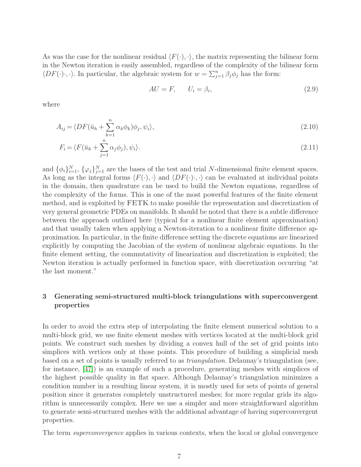As was the case for the nonlinear residual  $\langle F(\cdot), \cdot \rangle$ , the matrix representing the bilinear form in the Newton iteration is easily assembled, regardless of the complexity of the bilinear form  $\langle DF(\cdot)\cdot, \cdot \rangle$ . In particular, the algebraic system for  $w = \sum_{j=1}^{n} \beta_j \phi_j$  has the form:

$$
AU = F, \qquad U_i = \beta_i,\tag{2.9}
$$

where

$$
A_{ij} = \langle DF(\bar{u}_h + \sum_{k=1}^n \alpha_k \phi_k) \phi_j, \psi_i \rangle, \tag{2.10}
$$

$$
F_i = \langle F(\bar{u}_h + \sum_{j=1}^n \alpha_j \phi_j), \psi_i \rangle.
$$
\n(2.11)

and  $\{\phi_i\}_{i=1}^N$ ,  $\{\varphi_j\}_{j=1}^N$  are the bases of the test and trial N-dimensional finite element spaces. As long as the integral forms  $\langle F(\cdot), \cdot \rangle$  and  $\langle DF(\cdot), \cdot \rangle$  can be evaluated at individual points in the domain, then quadrature can be used to build the Newton equations, regardless of the complexity of the forms. This is one of the most powerful features of the finite element method, and is exploited by FETK to make possible the representation and discretization of very general geometric PDEs on manifolds. It should be noted that there is a subtle difference between the approach outlined here (typical for a nonlinear finite element approximation) and that usually taken when applying a Newton-iteration to a nonlinear finite difference approximation. In particular, in the finite difference setting the discrete equations are linearized explicitly by computing the Jacobian of the system of nonlinear algebraic equations. In the finite element setting, the commutativity of linearization and discretization is exploited; the Newton iteration is actually performed in function space, with discretization occurring "at the last moment."

## <span id="page-6-0"></span>3 Generating semi-structured multi-block triangulations with superconvergent properties

In order to avoid the extra step of interpolating the finite element numerical solution to a multi-block grid, we use finite element meshes with vertices located at the multi-block grid points. We construct such meshes by dividing a convex hull of the set of grid points into simplices with vertices only at those points. This procedure of building a simplicial mesh based on a set of points is usually referred to as triangulation. Delaunay's triangulation (see, for instance, [\[47\]](#page-30-14)) is an example of such a procedure, generating meshes with simplices of the highest possible quality in flat space. Although Delaunay's triangulation minimizes a condition number in a resulting linear system, it is mostly used for sets of points of general position since it generates completely unstructured meshes; for more regular grids its algorithm is unnecessarily complex. Here we use a simpler and more straightforward algorithm to generate semi-structured meshes with the additional advantage of having superconvergent properties.

The term superconvergence applies in various contexts, when the local or global convergence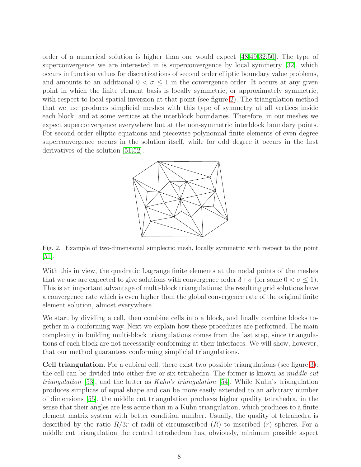order of a numerical solution is higher than one would expect [\[48,](#page-30-15)[49,](#page-30-16)[32,](#page-29-15)[50\]](#page-30-17). The type of superconvergence we are interested in is superconvergence by local symmetry [\[32\]](#page-29-15), which occurs in function values for discretizations of second order elliptic boundary value problems, and amounts to an additional  $0 < \sigma \leq 1$  in the convergence order. It occurs at any given point in which the finite element basis is locally symmetric, or approximately symmetric, with respect to local spatial inversion at that point (see figure [2\)](#page-7-0). The triangulation method that we use produces simplicial meshes with this type of symmetry at all vertices inside each block, and at some vertices at the interblock boundaries. Therefore, in our meshes we expect superconvergence everywhere but at the non-symmetric interblock boundary points. For second order elliptic equations and piecewise polynomial finite elements of even degree superconvergence occurs in the solution itself, while for odd degree it occurs in the first derivatives of the solution [\[51](#page-31-0)[,52\]](#page-31-1).



<span id="page-7-0"></span>Fig. 2. Example of two-dimensional simplectic mesh, locally symmetric with respect to the point  $|51|$ .

With this in view, the quadratic Lagrange finite elements at the nodal points of the meshes that we use are expected to give solutions with convergence order  $3+\sigma$  (for some  $0<\sigma\leq 1$ ). This is an important advantage of multi-block triangulations: the resulting grid solutions have a convergence rate which is even higher than the global convergence rate of the original finite element solution, almost everywhere.

We start by dividing a cell, then combine cells into a block, and finally combine blocks together in a conforming way. Next we explain how these procedures are performed. The main complexity in building multi-block triangulations comes from the last step, since triangulations of each block are not necessarily conforming at their interfaces. We will show, however, that our method guarantees conforming simplicial triangulations.

Cell triangulation. For a cubical cell, there exist two possible triangulations (see figure [3\)](#page-8-0): the cell can be divided into either five or six tetrahedra. The former is known as *middle cut triangulation* [\[53\]](#page-31-2), and the latter as Kuhn's triangulation [\[54\]](#page-31-3). While Kuhn's triangulation produces simplices of equal shape and can be more easily extended to an arbitrary number of dimensions [\[55\]](#page-31-4), the middle cut triangulation produces higher quality tetrahedra, in the sense that their angles are less acute than in a Kuhn triangulation, which produces to a finite element matrix system with better condition number. Usually, the quality of tetrahedra is described by the ratio  $R/3r$  of radii of circumscribed  $(R)$  to inscribed  $(r)$  spheres. For a middle cut triangulation the central tetrahedron has, obviously, minimum possible aspect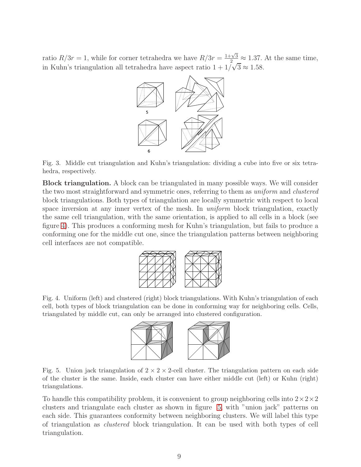ratio  $R/3r = 1$ , while for corner tetrahedra we have  $R/3r = \frac{1+\sqrt{3}}{2} \approx 1.37$ . At the same time, in Kuhn's triangulation all tetrahedra have aspect ratio  $1 + 1/\sqrt{3} \approx 1.58$ .



<span id="page-8-0"></span>Fig. 3. Middle cut triangulation and Kuhn's triangulation: dividing a cube into five or six tetrahedra, respectively.

Block triangulation. A block can be triangulated in many possible ways. We will consider the two most straightforward and symmetric ones, referring to them as uniform and clustered block triangulations. Both types of triangulation are locally symmetric with respect to local space inversion at any inner vertex of the mesh. In *uniform* block triangulation, exactly the same cell triangulation, with the same orientation, is applied to all cells in a block (see figure [4\)](#page-8-1). This produces a conforming mesh for Kuhn's triangulation, but fails to produce a conforming one for the middle cut one, since the triangulation patterns between neighboring cell interfaces are not compatible.



<span id="page-8-1"></span>Fig. 4. Uniform (left) and clustered (right) block triangulations. With Kuhn's triangulation of each cell, both types of block triangulation can be done in conforming way for neighboring cells. Cells, triangulated by middle cut, can only be arranged into clustered configuration.



<span id="page-8-2"></span>Fig. 5. Union jack triangulation of  $2 \times 2 \times 2$ -cell cluster. The triangulation pattern on each side of the cluster is the same. Inside, each cluster can have either middle cut (left) or Kuhn (right) triangulations.

To handle this compatibility problem, it is convenient to group neighboring cells into  $2 \times 2 \times 2$ clusters and triangulate each cluster as shown in figure [5,](#page-8-2) with "union jack" patterns on each side. This guarantees conformity between neighboring clusters. We will label this type of triangulation as clustered block triangulation. It can be used with both types of cell triangulation.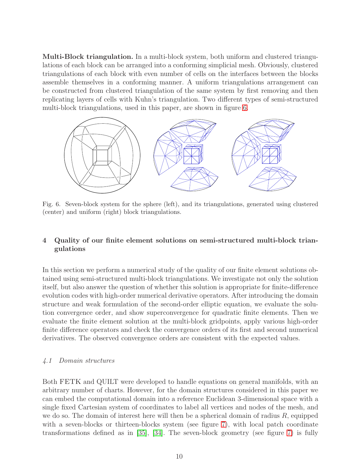Multi-Block triangulation. In a multi-block system, both uniform and clustered triangulations of each block can be arranged into a conforming simplicial mesh. Obviously, clustered triangulations of each block with even number of cells on the interfaces between the blocks assemble themselves in a conforming manner. A uniform triangulations arrangement can be constructed from clustered triangulation of the same system by first removing and then replicating layers of cells with Kuhn's triangulation. Two different types of semi-structured multi-block triangulations, used in this paper, are shown in figure [6.](#page-9-1)



<span id="page-9-1"></span>Fig. 6. Seven-block system for the sphere (left), and its triangulations, generated using clustered (center) and uniform (right) block triangulations.

# <span id="page-9-0"></span>4 Quality of our finite element solutions on semi-structured multi-block triangulations

In this section we perform a numerical study of the quality of our finite element solutions obtained using semi-structured multi-block triangulations. We investigate not only the solution itself, but also answer the question of whether this solution is appropriate for finite-difference evolution codes with high-order numerical derivative operators. After introducing the domain structure and weak formulation of the second-order elliptic equation, we evaluate the solution convergence order, and show superconvergence for quadratic finite elements. Then we evaluate the finite element solution at the multi-block gridpoints, apply various high-order finite difference operators and check the convergence orders of its first and second numerical derivatives. The observed convergence orders are consistent with the expected values.

## <span id="page-9-2"></span>4.1 Domain structures

Both FETK and QUILT were developed to handle equations on general manifolds, with an arbitrary number of charts. However, for the domain structures considered in this paper we can embed the computational domain into a reference Euclidean 3-dimensional space with a single fixed Cartesian system of coordinates to label all vertices and nodes of the mesh, and we do so. The domain of interest here will then be a spherical domain of radius  $R$ , equipped with a seven-blocks or thirteen-blocks system (see figure [7\)](#page-10-0), with local patch coordinate transformations defined as in [\[35\]](#page-30-2), [\[34\]](#page-30-1). The seven-block geometry (see figure [7\)](#page-10-0) is fully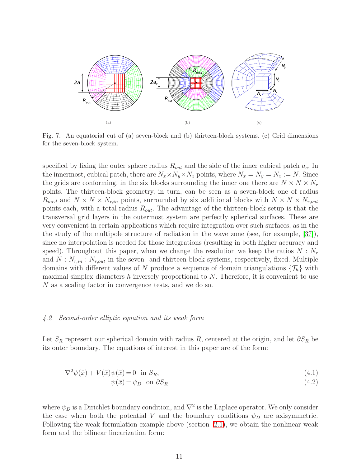

<span id="page-10-0"></span>Fig. 7. An equatorial cut of (a) seven-block and (b) thirteen-block systems. (c) Grid dimensions for the seven-block system.

specified by fixing the outer sphere radius  $R_{out}$  and the side of the inner cubical patch  $a_c$ . In the innermost, cubical patch, there are  $N_x \times N_y \times N_z$  points, where  $N_x = N_y = N_z := N$ . Since the grids are conforming, in the six blocks surrounding the inner one there are  $N \times N \times N_r$ points. The thirteen-block geometry, in turn, can be seen as a seven-block one of radius  $R_{med}$  and  $N \times N \times N_{r,in}$  points, surrounded by six additional blocks with  $N \times N \times N_{r,out}$ points each, with a total radius  $R_{out}$ . The advantage of the thirteen-block setup is that the transversal grid layers in the outermost system are perfectly spherical surfaces. These are very convenient in certain applications which require integration over such surfaces, as in the the study of the multipole structure of radiation in the wave zone (see, for example, [\[37\]](#page-30-4)), since no interpolation is needed for those integrations (resulting in both higher accuracy and speed). Throughout this paper, when we change the resolution we keep the ratios  $N : N_r$ and  $N: N_{r,in}: N_{r,out}$  in the seven- and thirteen-block systems, respectively, fixed. Multiple domains with different values of N produce a sequence of domain triangulations  $\{\mathcal{T}_h\}$  with maximal simplex diameters h inversely proportional to  $N$ . Therefore, it is convenient to use N as a scaling factor in convergence tests, and we do so.

#### <span id="page-10-2"></span>4.2 Second-order elliptic equation and its weak form

Let  $S_R$  represent our spherical domain with radius R, centered at the origin, and let  $\partial S_R$  be its outer boundary. The equations of interest in this paper are of the form:

<span id="page-10-1"></span>
$$
-\nabla^2 \psi(\bar{x}) + V(\bar{x})\psi(\bar{x}) = 0 \quad \text{in } S_R,\tag{4.1}
$$

$$
\psi(\bar{x}) = \psi_D \quad \text{on} \quad \partial S_R \tag{4.2}
$$

where  $\psi_D$  is a Dirichlet boundary condition, and  $\nabla^2$  is the Laplace operator. We only consider the case when both the potential V and the boundary conditions  $\psi_D$  are axisymmetric. Following the weak formulation example above (section [2.1\)](#page-4-1), we obtain the nonlinear weak form and the bilinear linearization form: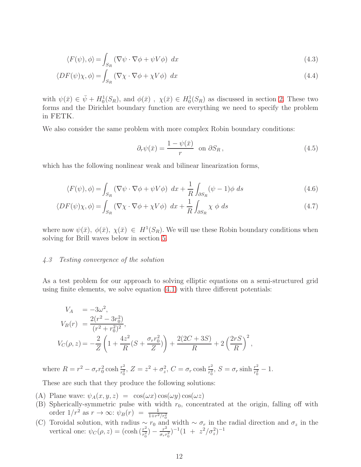$$
\langle F(\psi), \phi \rangle = \int_{S_R} (\nabla \psi \cdot \nabla \phi + \psi V \phi) dx
$$
\n(4.3)

$$
\langle DF(\psi)\chi, \phi \rangle = \int_{S_R} (\nabla \chi \cdot \nabla \phi + \chi V \phi) dx \tag{4.4}
$$

with  $\psi(\bar{x}) \in \bar{\psi} + H_0^1(S_R)$ , and  $\phi(\bar{x})$ ,  $\chi(\bar{x}) \in H_0^1(S_R)$  as discussed in section [2.](#page-4-0) These two forms and the Dirichlet boundary function are everything we need to specify the problem in FETK.

We also consider the same problem with more complex Robin boundary conditions:

<span id="page-11-1"></span>
$$
\partial_r \psi(\bar{x}) = \frac{1 - \psi(\bar{x})}{r} \quad \text{on} \quad \partial S_R \,, \tag{4.5}
$$

which has the following nonlinear weak and bilinear linearization forms,

<span id="page-11-2"></span>
$$
\langle F(\psi), \phi \rangle = \int_{S_R} (\nabla \psi \cdot \nabla \phi + \psi V \phi) dx + \frac{1}{R} \int_{\partial S_R} (\psi - 1) \phi ds
$$
 (4.6)

$$
\langle DF(\psi)\chi,\phi\rangle = \int_{S_R} \left(\nabla\chi\cdot\nabla\phi + \chi V\phi\right) dx + \frac{1}{R} \int_{\partial S_R} \chi \phi ds \tag{4.7}
$$

where now  $\psi(\bar{x}), \phi(\bar{x}), \chi(\bar{x}) \in H^1(S_R)$ . We will use these Robin boundary conditions when solving for Brill waves below in section [5.](#page-20-0)

#### <span id="page-11-0"></span>4.3 Testing convergence of the solution

As a test problem for our approach to solving elliptic equations on a semi-structured grid using finite elements, we solve equation [\(4.1\)](#page-10-1) with three different potentials:

$$
V_A = -3\omega^2,
$$
  
\n
$$
V_B(r) = \frac{2(r^2 - 3r_0^2)}{(r^2 + r_0^2)^2},
$$
  
\n
$$
V_C(\rho, z) = -\frac{2}{Z} \left( 1 + \frac{4z^2}{R} (S + \frac{\sigma_r r_0^2}{Z}) \right) + \frac{2(2C + 3S)}{R} + 2 \left( \frac{2rS}{R} \right)^2,
$$

where  $R = r^2 - \sigma_r r_0^2 \cosh \frac{r^2}{r_0^2}$  $\frac{r^2}{r_0^2}$ ,  $Z = z^2 + \sigma_z^2$ ,  $C = \sigma_r \cosh \frac{r^2}{r_0^2}$  $\frac{r^2}{r_0^2}$ ,  $S = \sigma_r \sinh \frac{r^2}{r_0^2}$  $\frac{r^2}{r_0^2}-1.$ 

These are such that they produce the following solutions:

- (A) Plane wave:  $\psi_A(x, y, z) = \cos(\omega x) \cos(\omega y) \cos(\omega z)$
- (B) Spherically-symmetric pulse with width  $r_0$ , concentrated at the origin, falling off with
- order  $1/r^2$  as  $r \to \infty$ :  $\psi_B(r) = \frac{1}{1+r^2/r_0^2}$ <br>(C) Toroidal solution, with radius ∼  $r_0$  and width ∼  $\sigma_r$  in the radial direction and  $\sigma_z$  in the vertical one:  $\psi_C(\rho, z) = (\cosh(\frac{r^2}{r^2})$  $\frac{r^2}{r_0^2}$ ) –  $\frac{r^2}{\sigma_r r}$  $\frac{r^2}{\sigma_r r_0^2})^{-1} (1 + z^2/\sigma_z^2)^{-1}$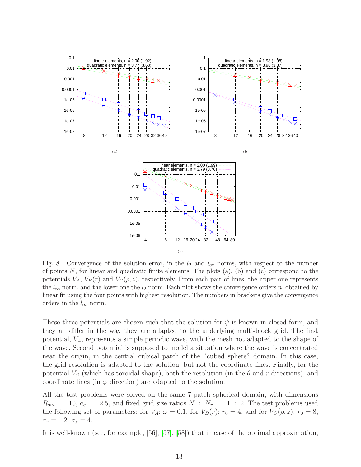

<span id="page-12-0"></span>Fig. 8. Convergence of the solution error, in the  $l_2$  and  $l_{\infty}$  norms, with respect to the number of points  $N$ , for linear and quadratic finite elements. The plots  $(a)$ ,  $(b)$  and  $(c)$  correspond to the potentials  $V_A$ ,  $V_B(r)$  and  $V_C(\rho, z)$ , respectively. From each pair of lines, the upper one represents the  $l_{\infty}$  norm, and the lower one the  $l_2$  norm. Each plot shows the convergence orders n, obtained by linear fit using the four points with highest resolution. The numbers in brackets give the convergence orders in the  $l_{\infty}$  norm.

These three potentials are chosen such that the solution for  $\psi$  is known in closed form, and they all differ in the way they are adapted to the underlying multi-block grid. The first potential,  $V_A$ , represents a simple periodic wave, with the mesh not adapted to the shape of the wave. Second potential is supposed to model a situation where the wave is concentrated near the origin, in the central cubical patch of the "cubed sphere" domain. In this case, the grid resolution is adapted to the solution, but not the coordinate lines. Finally, for the potential  $V_C$  (which has toroidal shape), both the resolution (in the  $\theta$  and r directions), and coordinate lines (in  $\varphi$  direction) are adapted to the solution.

All the test problems were solved on the same 7-patch spherical domain, with dimensions  $R_{out}$  = 10,  $a_c$  = 2.5, and fixed grid size ratios  $N : N_r = 1 : 2$ . The test problems used the following set of parameters: for  $V_A$ :  $\omega = 0.1$ , for  $V_B(r)$ :  $r_0 = 4$ , and for  $V_C(\rho, z)$ :  $r_0 = 8$ ,  $\sigma_r = 1.2, \, \sigma_z = 4.$ 

It is well-known (see, for example, [\[56\]](#page-31-5), [\[57\]](#page-31-6), [\[58\]](#page-31-7)) that in case of the optimal approximation,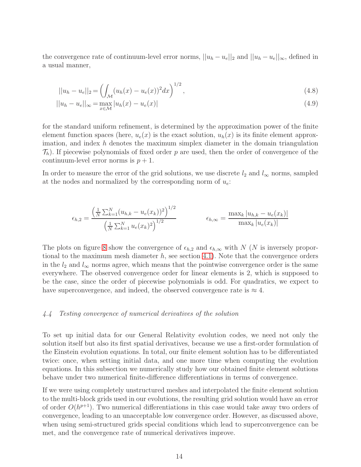the convergence rate of continuum-level error norms,  $||u_h - u_e||_2$  and  $||u_h - u_e||_{\infty}$ , defined in a usual manner,

$$
||u_h - u_e||_2 = \left(\int_{\mathcal{M}} (u_h(x) - u_e(x))^2 dx\right)^{1/2},\tag{4.8}
$$

$$
||u_h - u_e||_{\infty} = \max_{x \in \mathcal{M}} |u_h(x) - u_e(x)|
$$
\n(4.9)

for the standard uniform refinement, is determined by the approximation power of the finite element function spaces (here,  $u_e(x)$  is the exact solution,  $u_h(x)$  is its finite element approximation, and index  $h$  denotes the maximum simplex diameter in the domain triangulation  $\mathcal{T}_h$ ). If piecewise polynomials of fixed order p are used, then the order of convergence of the continuum-level error norms is  $p + 1$ .

In order to measure the error of the grid solutions, we use discrete  $l_2$  and  $l_{\infty}$  norms, sampled at the nodes and normalized by the corresponding norm of  $u_e$ :

$$
\epsilon_{h,2} = \frac{\left(\frac{1}{N} \sum_{k=1}^{N} (u_{h,k} - u_e(x_k))^2\right)^{1/2}}{\left(\frac{1}{N} \sum_{k=1}^{N} u_e(x_k)^2\right)^{1/2}} \qquad \epsilon_{h,\infty} = \frac{\max_k |u_{h,k} - u_e(x_k)|}{\max_k |u_e(x_k)|}
$$

The plots on figure [8](#page-12-0) show the convergence of  $\epsilon_{h,2}$  and  $\epsilon_{h,\infty}$  with N (N is inversely proportional to the maximum mesh diameter  $h$ , see section [4.1\)](#page-9-2). Note that the convergence orders in the  $l_2$  and  $l_{\infty}$  norms agree, which means that the pointwise convergence order is the same everywhere. The observed convergence order for linear elements is 2, which is supposed to be the case, since the order of piecewise polynomials is odd. For quadratics, we expect to have superconvergence, and indeed, the observed convergence rate is  $\approx 4$ .

#### <span id="page-13-0"></span>4.4 Testing convergence of numerical derivatives of the solution

To set up initial data for our General Relativity evolution codes, we need not only the solution itself but also its first spatial derivatives, because we use a first-order formulation of the Einstein evolution equations. In total, our finite element solution has to be differentiated twice: once, when setting initial data, and one more time when computing the evolution equations. In this subsection we numerically study how our obtained finite element solutions behave under two numerical finite-difference differentiations in terms of convergence.

If we were using completely unstructured meshes and interpolated the finite element solution to the multi-block grids used in our evolutions, the resulting grid solution would have an error of order  $O(h^{p+1})$ . Two numerical differentiations in this case would take away two orders of convergence, leading to an unacceptable low convergence order. However, as discussed above, when using semi-structured grids special conditions which lead to superconvergence can be met, and the convergence rate of numerical derivatives improve.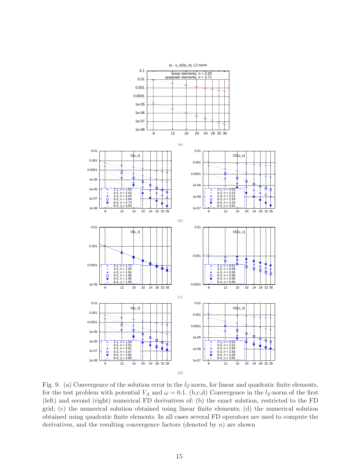

<span id="page-14-0"></span>Fig. 9. (a) Convergence of the solution error in the  $l_2$ -norm, for linear and quadratic finite elements, for the test problem with potential  $V_A$  and  $\omega = 0.1$ . (b,c,d) Convergence in the  $l_2$ -norm of the first (left) and second (right) numerical FD derivatives of: (b) the exact solution, restricted to the FD grid; (c) the numerical solution obtained using linear finite elements; (d) the numerical solution obtained using quadratic finite elements. In all cases several FD operators are used to compute the derivatives, and the resulting convergence factors (denoted by  $n$ ) are shown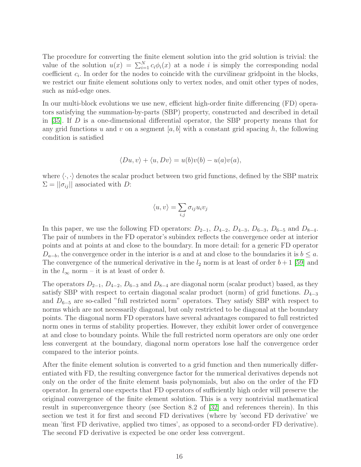The procedure for converting the finite element solution into the grid solution is trivial: the value of the solution  $u(x) = \sum_{i=1}^{N} c_i \phi_i(x)$  at a node *i* is simply the corresponding nodal coefficient  $c_i$ . In order for the nodes to coincide with the curvilinear gridpoint in the blocks, we restrict our finite element solutions only to vertex nodes, and omit other types of nodes, such as mid-edge ones.

In our multi-block evolutions we use new, efficient high-order finite differencing (FD) operators satisfying the summation-by-parts (SBP) property, constructed and described in detail in [\[35\]](#page-30-2). If  $D$  is a one-dimensional differential operator, the SBP property means that for any grid functions u and v on a segment  $[a, b]$  with a constant grid spacing h, the following condition is satisfied

$$
\langle Du, v \rangle + \langle u, Dv \rangle = u(b)v(b) - u(a)v(a),
$$

where  $\langle \cdot, \cdot \rangle$  denotes the scalar product between two grid functions, defined by the SBP matrix  $\Sigma = ||\sigma_{ij}||$  associated with D:

$$
\langle u, v \rangle = \sum_{i,j} \sigma_{ij} u_i v_j
$$

In this paper, we use the following FD operators:  $D_{2-1}$ ,  $D_{4-2}$ ,  $D_{4-3}$ ,  $D_{6-3}$ ,  $D_{6-5}$  and  $D_{8-4}$ . The pair of numbers in the FD operator's subindex reflects the convergence order at interior points and at points at and close to the boundary. In more detail: for a generic FD operator  $D_{a-b}$ , the convergence order in the interior is a and at and close to the boundaries it is  $b \leq a$ . The convergence of the numerical derivative in the  $l_2$  norm is at least of order  $b+1$  [\[59\]](#page-31-8) and in the  $l_{\infty}$  norm – it is at least of order b.

The operators  $D_{2-1}$ ,  $D_{4-2}$ ,  $D_{6-3}$  and  $D_{8-4}$  are diagonal norm (scalar product) based, as they satisfy SBP with respect to certain diagonal scalar product (norm) of grid functions.  $D_{4-3}$ and  $D_{6-5}$  are so-called "full restricted norm" operators. They satisfy SBP with respect to norms which are not necessarily diagonal, but only restricted to be diagonal at the boundary points. The diagonal norm FD operators have several advantages compared to full restricted norm ones in terms of stability properties. However, they exhibit lower order of convergence at and close to boundary points. While the full restricted norm operators are only one order less convergent at the boundary, diagonal norm operators lose half the convergence order compared to the interior points.

After the finite element solution is converted to a grid function and then numerically differentiated with FD, the resulting convergence factor for the numerical derivatives depends not only on the order of the finite element basis polynomials, but also on the order of the FD operator. In general one expects that FD operators of sufficiently high order will preserve the original convergence of the finite element solution. This is a very nontrivial mathematical result in superconvergence theory (see Section 8.2 of [\[32\]](#page-29-15) and references therein). In this section we test it for first and second FD derivatives (where by 'second FD derivative' we mean 'first FD derivative, applied two times', as opposed to a second-order FD derivative). The second FD derivative is expected be one order less convergent.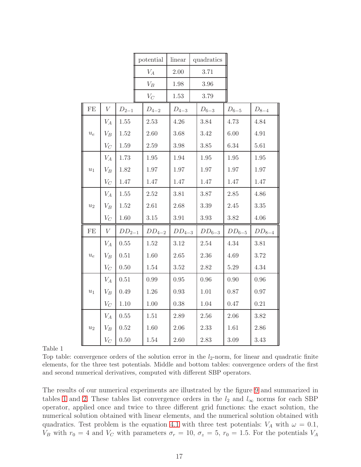|                    |                  |                 | potential        | linear     | quadratics |            |                      |
|--------------------|------------------|-----------------|------------------|------------|------------|------------|----------------------|
|                    |                  | $V_A$           | $2.00\,$<br>3.71 |            |            |            |                      |
|                    |                  | $\mathcal{V}_B$ | 1.98             | $3.96\,$   |            |            |                      |
|                    |                  |                 | $V_C$            | 1.53       | 3.79       |            |                      |
| $\rm FE$           | $\boldsymbol{V}$ | $D_{2-1}$       | $D_{4-2}$        | $D_{4-3}$  | $D_{6-3}$  | $D_{6-5}$  | ${\mathcal D}_{8-4}$ |
|                    | $V_A$            | $1.55\,$        | $2.53\,$         | 4.26       | 3.84       | 4.73       | 4.84                 |
| $\boldsymbol{u_e}$ | $V_B$            | 1.52            | 2.60             | 3.68       | 3.42       | 6.00       | 4.91                 |
|                    | $V_C$            | 1.59            | $2.59\,$         | 3.98       | 3.85       | 6.34       | 5.61                 |
| $\boldsymbol{u}_1$ | $V_A$            | 1.73            | 1.95             | 1.94       | 1.95       | 1.95       | 1.95                 |
|                    | $V_B$            | 1.82            | 1.97             | 1.97       | 1.97       | 1.97       | 1.97                 |
|                    | $V_C$            | 1.47            | 1.47             | 1.47       | 1.47       | 1.47       | 1.47                 |
| $\boldsymbol{u}_2$ | $V_A$            | 1.55            | 2.52             | 3.81       | 3.87       | 2.85       | 4.86                 |
|                    | $V_B$            | 1.52            | 2.61             | 2.68       | 3.39       | 2.45       | 3.35                 |
|                    | ${\mathcal V}_C$ | 1.60            | $3.15\,$         | 3.91       | $3.93\,$   | 3.82       | 4.06                 |
| $\rm FE$           | $\boldsymbol{V}$ | $DD_{2-1}$      | $DD_{4-2}$       | $DD_{4-3}$ | $DD_{6-3}$ | $DD_{6-5}$ | $DD_{8-4}$           |
| $u_{e}$            | $V_A$            | 0.55            | $1.52\,$         | 3.12       | 2.54       | 4.34       | 3.81                 |
|                    | $V_B$            | 0.51            | 1.60             | 2.65       | 2.36       | 4.69       | 3.72                 |
|                    | $V_C$            | 0.50            | 1.54             | 3.52       | 2.82       | $5.29\,$   | 4.34                 |
|                    | $V_A$            | 0.51            | 0.99             | 0.95       | 0.96       | 0.90       | 0.96                 |
| $\boldsymbol{u}_1$ | $V_B$            | 0.49            | 1.26             | 0.93       | 1.01       | 0.87       | 0.97                 |
|                    | $V_C$            | 1.10            | 1.00             | 0.38       | 1.04       | 0.47       | 0.21                 |
|                    | $V_A$            | 0.55            | 1.51             | 2.89       | 2.56       | 2.06       | 3.82                 |
| $\boldsymbol{u}_2$ | $V_B$            | $0.52\,$        | 1.60             | 2.06       | 2.33       | 1.61       | 2.86                 |
|                    | $V_C$            | 0.50            | 1.54             | 2.60       | 2.83       | $3.09\,$   | 3.43                 |

Table 1

<span id="page-16-0"></span>Top table: convergence orders of the solution error in the  $l_2$ -norm, for linear and quadratic finite elements, for the three test potentials. Middle and bottom tables: convergence orders of the first and second numerical derivatives, computed with different SBP operators.

The results of our numerical experiments are illustrated by the figure [9](#page-14-0) and summarized in tables [1](#page-16-0) and [2.](#page-17-0) These tables list convergence orders in the  $l_2$  and  $l_{\infty}$  norms for each SBP operator, applied once and twice to three different grid functions: the exact solution, the numerical solution obtained with linear elements, and the numerical solution obtained with quadratics. Test problem is the equation [4.1](#page-10-1) with three test potentials:  $V_A$  with  $\omega = 0.1$ ,  $V_B$  with  $r_0 = 4$  and  $V_C$  with parameters  $\sigma_r = 10$ ,  $\sigma_z = 5$ ,  $r_0 = 1.5$ . For the potentials  $V_A$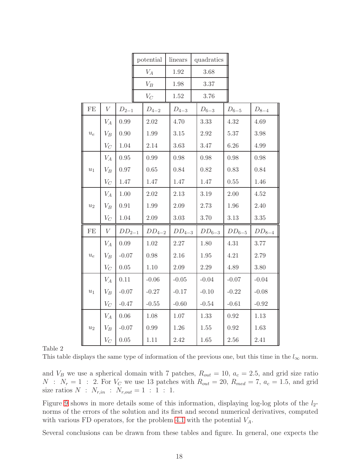|                      |                  |            | potential       | linears    | quadratics |            |            |
|----------------------|------------------|------------|-----------------|------------|------------|------------|------------|
|                      |                  |            | $V_A$           | 1.92       | 3.68       |            |            |
|                      |                  |            | $\mathcal{V}_B$ | 1.98       | 3.37       |            |            |
|                      |                  |            | $V_C$           | 1.52       | 3.76       |            |            |
| $\rm FE$             | V                | $D_{2-1}$  | $D_{4-2}$       | $D_{4-3}$  | $D_{6-3}$  | $D_{6-5}$  | $D_{8-4}$  |
|                      | $V_A$            | 0.99       | $2.02\,$        | 4.70       | $3.33\,$   | 4.32       | 4.69       |
| $u_{\boldsymbol{e}}$ | $V_B$            | 0.90       | 1.99            | 3.15       | 2.92       | $5.37\,$   | 3.98       |
|                      | $V_C$            | 1.04       | 2.14            | 3.63       | 3.47       | 6.26       | 4.99       |
|                      | $V_A$            | 0.95       | 0.99            | 0.98       | 0.98       | 0.98       | 0.98       |
| $\boldsymbol{u}_1$   | $V_B$            | 0.97       | 0.65            | 0.84       | 0.82       | 0.83       | 0.84       |
|                      | $V_C$            | 1.47       | 1.47            | 1.47       | 1.47       | $0.55\,$   | 1.46       |
| $u_2$                | ${\cal V}_A$     | 1.00       | 2.02            | 2.13       | 3.19       | 2.00       | $4.52\,$   |
|                      | $V_B$            | 0.91       | 1.99            | $2.09\,$   | 2.73       | 1.96       | 2.40       |
|                      | $V_C$            | 1.04       | 2.09            | 3.03       | 3.70       | 3.13       | $3.35\,$   |
| $\rm FE$             | $\boldsymbol{V}$ | $DD_{2-1}$ | $DD_{4-2}$      | $DD_{4-3}$ | $DD_{6-3}$ | $DD_{6-5}$ | $DD_{8-4}$ |
| $\boldsymbol{u}_e$   | $V_A$            | 0.09       | 1.02            | 2.27       | 1.80       | 4.31       | $3.77\,$   |
|                      | $V_B$            | $-0.07$    | 0.98            | 2.16       | 1.95       | 4.21       | 2.79       |
|                      | $V_C$            | 0.05       | 1.10            | 2.09       | 2.29       | 4.89       | 3.80       |
| $\boldsymbol{u}_1$   | $V_A$            | 0.11       | $-0.06$         | $-0.05$    | $-0.04$    | $-0.07$    | $-0.04$    |
|                      | $V_B$            | $-0.07$    | $-0.27$         | $-0.17$    | $-0.10$    | $-0.22$    | $-0.08$    |
|                      | $V_C$            | $-0.47$    | $-0.55$         | $-0.60$    | $-0.54$    | $-0.61$    | $-0.92$    |
|                      | $V_A$            | 0.06       | 1.08            | 1.07       | 1.33       | 0.92       | 1.13       |
| $\boldsymbol{u}_2$   | $V_B$            | $-0.07$    | 0.99            | 1.26       | 1.55       | 0.92       | 1.63       |
|                      | $V_C$            | 0.05       | 1.11            | 2.42       | 1.65       | 2.56       | 2.41       |

Table 2

<span id="page-17-0"></span>

| This table displays the same type of information of the previous one, but this time in the $l_{\infty}$ norm. |  |
|---------------------------------------------------------------------------------------------------------------|--|
|---------------------------------------------------------------------------------------------------------------|--|

and  $V_B$  we use a spherical domain with 7 patches,  $R_{out} = 10$ ,  $a_c = 2.5$ , and grid size ratio  $N$ :  $N_r = 1$ : 2. For  $V_C$  we use 13 patches with  $R_{out} = 20$ ,  $R_{med} = 7$ ,  $a_c = 1.5$ , and grid size ratios  $N$  :  $N_{r,in}$  :  $N_{r,out} = 1$  : 1 : 1.

Figure [9](#page-14-0) shows in more details some of this information, displaying log-log plots of the  $l_2$ norms of the errors of the solution and its first and second numerical derivatives, computed with various FD operators, for the problem [4.1](#page-10-1) with the potential  $V_A$ .

Several conclusions can be drawn from these tables and figure. In general, one expects the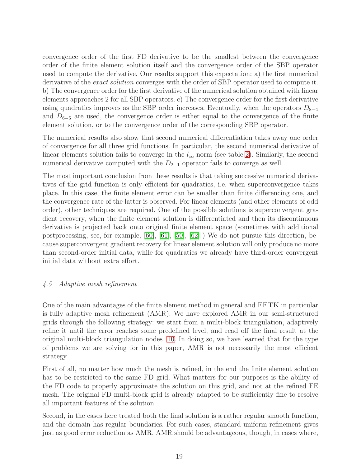convergence order of the first FD derivative to be the smallest between the convergence order of the finite element solution itself and the convergence order of the SBP operator used to compute the derivative. Our results support this expectation: a) the first numerical derivative of the *exact solution* converges with the order of SBP operator used to compute it. b) The convergence order for the first derivative of the numerical solution obtained with linear elements approaches 2 for all SBP operators. c) The convergence order for the first derivative using quadratics improves as the SBP order increases. Eventually, when the operators  $D_{8-4}$ and  $D_{6-5}$  are used, the convergence order is either equal to the convergence of the finite element solution, or to the convergence order of the corresponding SBP operator.

The numerical results also show that second numerical differentiation takes away one order of convergence for all three grid functions. In particular, the second numerical derivative of linear elements solution fails to converge in the  $l_{\infty}$  norm (see table [2\)](#page-17-0). Similarly, the second numerical derivative computed with the  $D_{2-1}$  operator fails to converge as well.

The most important conclusion from these results is that taking successive numerical derivatives of the grid function is only efficient for quadratics, i.e. when superconvergence takes place. In this case, the finite element error can be smaller than finite differencing one, and the convergence rate of the latter is observed. For linear elements (and other elements of odd order), other techniques are required. One of the possible solutions is superconvergent gradient recovery, when the finite element solution is differentiated and then its discontinuous derivative is projected back onto original finite element space (sometimes with additional postprocessing, see, for example, [\[60\]](#page-31-9), [\[61\]](#page-31-10), [\[50\]](#page-30-17), [\[62\]](#page-31-11) ) We do not pursue this direction, because superconvergent gradient recovery for linear element solution will only produce no more than second-order initial data, while for quadratics we already have third-order convergent initial data without extra effort.

## <span id="page-18-0"></span>4.5 Adaptive mesh refinement

One of the main advantages of the finite element method in general and FETK in particular is fully adaptive mesh refinement (AMR). We have explored AMR in our semi-structured grids through the following strategy: we start from a multi-block triangulation, adaptively refine it until the error reaches some predefined level, and read off the final result at the original multi-block triangulation nodes [10.](#page-19-0) In doing so, we have learned that for the type of problems we are solving for in this paper, AMR is not necessarily the most efficient strategy.

First of all, no matter how much the mesh is refined, in the end the finite element solution has to be restricted to the same FD grid. What matters for our purposes is the ability of the FD code to properly approximate the solution on this grid, and not at the refined FE mesh. The original FD multi-block grid is already adapted to be sufficiently fine to resolve all important features of the solution.

Second, in the cases here treated both the final solution is a rather regular smooth function, and the domain has regular boundaries. For such cases, standard uniform refinement gives just as good error reduction as AMR. AMR should be advantageous, though, in cases where,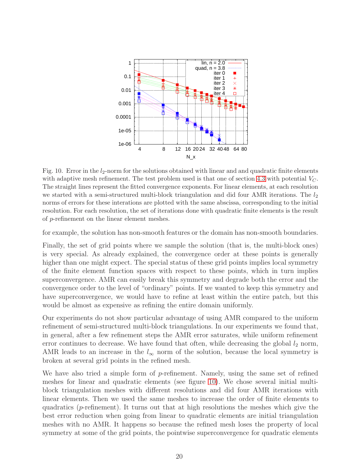

<span id="page-19-0"></span>Fig. 10. Error in the  $l_2$ -norm for the solutions obtained with linear and and quadratic finite elements with adaptive mesh refinement. The test problem used is that one of section [4.3](#page-11-0) with potential  $V_C$ . The straight lines represent the fitted convergence exponents. For linear elements, at each resolution we started with a semi-structured multi-block triangulation and did four AMR iterations. The  $l_2$ norms of errors for these interations are plotted with the same abscissa, corresponding to the initial resolution. For each resolution, the set of iterations done with quadratic finite elements is the result of p-refinement on the linear element meshes.

for example, the solution has non-smooth features or the domain has non-smooth boundaries.

Finally, the set of grid points where we sample the solution (that is, the multi-block ones) is very special. As already explained, the convergence order at these points is generally higher than one might expect. The special status of these grid points implies local symmetry of the finite element function spaces with respect to these points, which in turn implies superconvergence. AMR can easily break this symmetry and degrade both the error and the convergence order to the level of "ordinary" points. If we wanted to keep this symmetry and have superconvergence, we would have to refine at least within the entire patch, but this would be almost as expensive as refining the entire domain uniformly.

Our experiments do not show particular advantage of using AMR compared to the uniform refinement of semi-structured multi-block triangulations. In our experiments we found that, in general, after a few refinement steps the AMR error saturates, while uniform refinement error continues to decrease. We have found that often, while decreasing the global  $l_2$  norm, AMR leads to an increase in the  $l_{\infty}$  norm of the solution, because the local symmetry is broken at several grid points in the refined mesh.

We have also tried a simple form of  $p$ -refinement. Namely, using the same set of refined meshes for linear and quadratic elements (see figure [10\)](#page-19-0). We chose several initial multiblock triangulation meshes with different resolutions and did four AMR iterations with linear elements. Then we used the same meshes to increase the order of finite elements to quadratics ( $p$ -refinement). It turns out that at high resolutions the meshes which give the best error reduction when going from linear to quadratic elements are initial triangulation meshes with no AMR. It happens so because the refined mesh loses the property of local symmetry at some of the grid points, the pointwise superconvergence for quadratic elements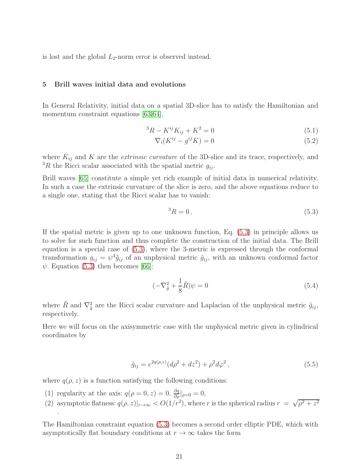<span id="page-20-0"></span>is lost and the global  $L_2$ -norm error is observed instead.

#### 5 Brill waves initial data and evolutions

In General Relativity, initial data on a spatial 3D-slice has to satisfy the Hamiltonian and momentum constraint equations [\[63,](#page-31-12)[64\]](#page-31-13),

$$
{}^{3}R - K^{ij}K_{ij} + K^{2} = 0
$$
\n(5.1)

$$
\nabla_i (K^{ij} - g^{ij} K) = 0 \tag{5.2}
$$

where  $K_{ij}$  and K are the *extrinsic curvature* of the 3D-slice and its trace, respectively, and <sup>3</sup>R the Ricci scalar associated with the spatial metric  $g_{ij}$ .

Brill waves [\[65\]](#page-31-14) constitute a simple yet rich example of initial data in numerical relativity. In such a case the extrinsic curvature of the slice is zero, and the above equations reduce to a single one, stating that the Ricci scalar has to vanish:

<span id="page-20-1"></span>
$$
{}^{3}R = 0. \t\t(5.3)
$$

If the spatial metric is given up to one unknown function, Eq. [\(5.3\)](#page-20-1) in principle allows us to solve for such function and thus complete the construction of the initial data. The Brill equation is a special case of [\(5.3\)](#page-20-1), where the 3-metric is expressed through the conformal transformation  $g_{ij} = \psi^4 \tilde{g}_{ij}$  of an unphysical metric  $\tilde{g}_{ij}$ , with an unknown conformal factor  $\psi$ . Equation [\(5.3\)](#page-20-1) then becomes [\[66\]](#page-31-15):

<span id="page-20-2"></span>
$$
(-\nabla_{\tilde{g}}^2 + \frac{1}{8}\tilde{R})\psi = 0\tag{5.4}
$$

where  $\tilde{R}$  and  $\nabla_{\tilde{g}}^2$  are the Ricci scalar curvature and Laplacian of the unphysical metric  $\tilde{g}_{ij}$ , respectively.

Here we will focus on the axisymmetric case with the unphysical metric given in cylindrical coordinates by

$$
\tilde{g}_{ij} = e^{2q(\rho, z)} (d\rho^2 + dz^2) + \rho^2 d\varphi^2, \qquad (5.5)
$$

where  $q(\rho, z)$  is a function satisfying the following conditions:

- (1) regularity at the axis:  $q(\rho = 0, z) = 0, \frac{\partial q}{\partial \rho}|_{\rho=0} = 0$ ,
- (2) asymptotic flatness:  $q(\rho, z)|_{r\to\infty} < O(1/r^2)$ , where r is the spherical radius  $r = \sqrt{\rho^2 + z^2}$ .

The Hamiltonian constraint equation [\(5.3\)](#page-20-1) becomes a second order elliptic PDE, which with asymptotically flat boundary conditions at  $r \to \infty$  takes the form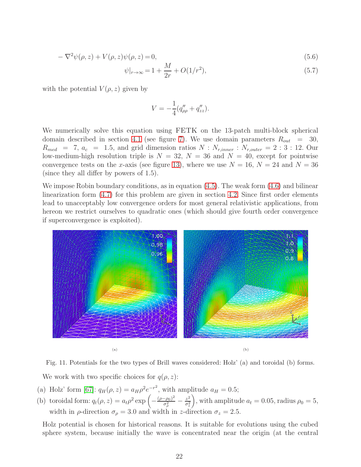<span id="page-21-0"></span>
$$
-\nabla^2 \psi(\rho, z) + V(\rho, z)\psi(\rho, z) = 0,
$$
\n
$$
(5.6)
$$

$$
\psi|_{r \to \infty} = 1 + \frac{M}{2r} + O(1/r^2),\tag{5.7}
$$

with the potential  $V(\rho, z)$  given by

$$
V = -\frac{1}{4}(q_{\rho\rho}'' + q_{zz}'').
$$

We numerically solve this equation using FETK on the 13-patch multi-block spherical domain described in section [4.1](#page-9-2) (see figure [7\)](#page-10-0). We use domain parameters  $R_{out}$  = 30,  $R_{med}$  = 7,  $a_c$  = 1.5, and grid dimension ratios  $N : N_{r,inner} : N_{r,outer} = 2 : 3 : 12$ . Our low-medium-high resolution triple is  $N = 32$ ,  $N = 36$  and  $N = 40$ , except for pointwise convergence tests on the x-axis (see figure [13\)](#page-23-0), where we use  $N = 16$ ,  $N = 24$  and  $N = 36$ (since they all differ by powers of 1.5).

We impose Robin boundary conditions, as in equation [\(4.5\)](#page-11-1). The weak form [\(4.6\)](#page-11-2) and bilinear linearization form [\(4.7\)](#page-11-2) for this problem are given in section [4.2.](#page-10-2) Since first order elements lead to unacceptably low convergence orders for most general relativistic applications, from hereon we restrict ourselves to quadratic ones (which should give fourth order convergence if superconvergence is exploited).



Fig. 11. Potentials for the two types of Brill waves considered: Holz' (a) and toroidal (b) forms. We work with two specific choices for  $q(\rho, z)$ :

- (a) Holz' form [\[67\]](#page-31-16):  $q_H(\rho, z) = a_H \rho^2 e^{-r^2}$ , with amplitude  $a_H = 0.5$ ;
- (b) toroidal form:  $q_t(\rho, z) = a_t \rho^2 \exp \left(-\frac{(\rho \rho_0)^2}{\sigma_\rho^2}\right)$  $\frac{(-\rho_0)^2}{\sigma_\rho^2} - \frac{z^2}{\sigma_z^2}$  $\sigma_z^2$ ), with amplitude  $a_t = 0.05$ , radius  $\rho_0 = 5$ , width in  $\rho$ -direction  $\sigma_{\rho} = 3.0$  and width in z-direction  $\sigma_{z} = 2.5$ .

Holz potential is chosen for historical reasons. It is suitable for evolutions using the cubed sphere system, because initially the wave is concentrated near the origin (at the central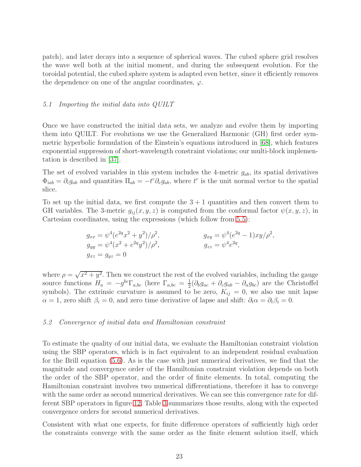patch), and later decays into a sequence of spherical waves. The cubed sphere grid resolves the wave well both at the initial moment, and during the subsequent evolution. For the toroidal potential, the cubed sphere system is adapted even better, since it efficiently removes the dependence on one of the angular coordinates,  $\varphi$ .

#### <span id="page-22-0"></span>5.1 Importing the initial data into QUILT

Once we have constructed the initial data sets, we analyze and evolve them by importing them into QUILT. For evolutions we use the Generalized Harmonic (GH) first order symmetric hyperbolic formulation of the Einstein's equations introduced in [\[68\]](#page-31-17), which features exponential suppression of short-wavelength constraint violations; our multi-block implementation is described in [\[37\]](#page-30-4).

The set of evolved variables in this system includes the 4-metric  $g_{ab}$ , its spatial derivatives  $\Phi_{iab} = \partial_i g_{ab}$  and quantities  $\Pi_{ab} = -t^c \partial_c g_{ab}$ , where  $t^c$  is the unit normal vector to the spatial slice.

To set up the initial data, we first compute the  $3 + 1$  quantities and then convert them to GH variables. The 3-metric  $g_{ij}(x, y, z)$  is computed from the conformal factor  $\psi(x, y, z)$ , in Cartesian coordinates, using the expressions (which follow from [5.5\)](#page-20-2):

$$
g_{xx} = \psi^4 (e^{2q} x^2 + y^2) / \rho^2,
$$
  
\n
$$
g_{yy} = \psi^4 (x^2 + e^{2q} y^2) / \rho^2,
$$
  
\n
$$
g_{zz} = \psi^4 e^{2q} ,
$$
  
\n
$$
g_{zz} = \psi^4 e^{2q} ,
$$
  
\n
$$
g_{zz} = \psi^4 e^{2q} ,
$$

where  $\rho = \sqrt{x^2 + y^2}$ . Then we construct the rest of the evolved variables, including the gauge source functions  $H_a = -g^{bc} \Gamma_{a,bc}$  (here  $\Gamma_{a,bc} = \frac{1}{2}$  $\frac{1}{2}(\partial_b g_{ac} + \partial_c g_{ab} - \partial_a g_{bc})$  are the Christoffel symbols). The extrinsic curvature is assumed to be zero,  $K_{ij} = 0$ , we also use unit lapse  $\alpha = 1$ , zero shift  $\beta_i = 0$ , and zero time derivative of lapse and shift:  $\partial_t \alpha = \partial_t \beta_i = 0$ .

#### <span id="page-22-1"></span>5.2 Convergence of initial data and Hamiltonian constraint

To estimate the quality of our initial data, we evaluate the Hamiltonian constraint violation using the SBP operators, which is in fact equivalent to an independent residual evaluation for the Brill equation [\(5.6\)](#page-21-0). As is the case with just numerical derivatives, we find that the magnitude and convergence order of the Hamiltonian constraint violation depends on both the order of the SBP operator, and the order of finite elements. In total, computing the Hamiltonian constraint involves two numerical differentiations, therefore it has to converge with the same order as second numerical derivatives. We can see this convergence rate for different SBP operators in figure [12.](#page-23-1) Table [3](#page-23-2) summarizes those results, along with the expected convergence orders for second numerical derivatives.

Consistent with what one expects, for finite difference operators of sufficiently high order the constraints converge with the same order as the finite element solution itself, which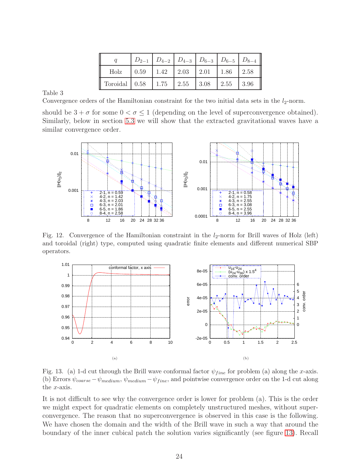|                                                    |  |  | $D_{2-1}$ $D_{4-2}$ $D_{4-3}$ $D_{6-3}$ $D_{6-5}$ $D_{8-4}$ |
|----------------------------------------------------|--|--|-------------------------------------------------------------|
|                                                    |  |  |                                                             |
| Toroidal   0.58   1.75   2.55   3.08   2.55   3.96 |  |  |                                                             |

Table 3

<span id="page-23-2"></span>Convergence orders of the Hamiltonian constraint for the two initial data sets in the  $l_2$ -norm.

should be  $3 + \sigma$  for some  $0 < \sigma \le 1$  (depending on the level of superconvergence obtained). Similarly, below in section [5.3](#page-24-0) we will show that the extracted gravitational waves have a similar convergence order.



Fig. 12. Convergence of the Hamiltonian constraint in the  $l_2$ -norm for Brill waves of Holz (left) and toroidal (right) type, computed using quadratic finite elements and different numerical SBP operators.

<span id="page-23-1"></span>

<span id="page-23-0"></span>Fig. 13. (a) 1-d cut through the Brill wave conformal factor  $\psi_{fine}$  for problem (a) along the x-axis. (b) Errors  $\psi_{coarse} - \psi_{medium}, \psi_{medium} - \psi_{fine}$ , and pointwise convergence order on the 1-d cut along the x-axis.

It is not difficult to see why the convergence order is lower for problem (a). This is the order we might expect for quadratic elements on completely unstructured meshes, without superconvergence. The reason that no superconvergence is observed in this case is the following. We have chosen the domain and the width of the Brill wave in such a way that around the boundary of the inner cubical patch the solution varies significantly (see figure [13\)](#page-23-0). Recall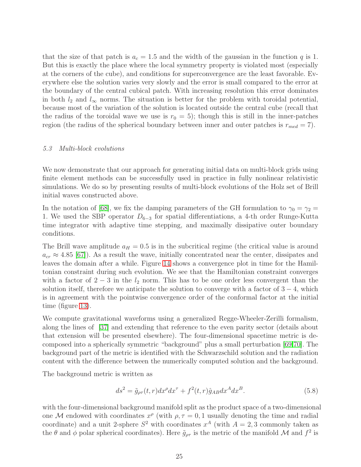that the size of that patch is  $a_c = 1.5$  and the width of the gaussian in the function q is 1. But this is exactly the place where the local symmetry property is violated most (especially at the corners of the cube), and conditions for superconvergence are the least favorable. Everywhere else the solution varies very slowly and the error is small compared to the error at the boundary of the central cubical patch. With increasing resolution this error dominates in both  $l_2$  and  $l_{\infty}$  norms. The situation is better for the problem with toroidal potential, because most of the variation of the solution is located outside the central cube (recall that the radius of the toroidal wave we use is  $r_0 = 5$ ; though this is still in the inner-patches region (the radius of the spherical boundary between inner and outer patches is  $r_{med} = 7$ ).

#### <span id="page-24-0"></span>5.3 Multi-block evolutions

We now demonstrate that our approach for generating initial data on multi-block grids using finite element methods can be successfully used in practice in fully nonlinear relativistic simulations. We do so by presenting results of multi-block evolutions of the Holz set of Brill initial waves constructed above.

In the notation of [\[68\]](#page-31-17), we fix the damping parameters of the GH formulation to  $\gamma_0 = \gamma_2 =$ 1. We used the SBP operator  $D_{6-3}$  for spatial differentiations, a 4-th order Runge-Kutta time integrator with adaptive time stepping, and maximally dissipative outer boundary conditions.

The Brill wave amplitude  $a_H = 0.5$  is in the subcritical regime (the critical value is around  $a_{cr} \approx 4.85$  [\[67\]](#page-31-16)). As a result the wave, initially concentrated near the center, dissipates and leaves the domain after a while. Figure [14](#page-25-0) shows a convergence plot in time for the Hamiltonian constraint during such evolution. We see that the Hamiltonian constraint converges with a factor of  $2 - 3$  in the  $l_2$  norm. This has to be one order less convergent than the solution itself, therefore we anticipate the solution to converge with a factor of  $3 - 4$ , which is in agreement with the pointwise convergence order of the conformal factor at the initial time (figure [13\)](#page-23-0).

We compute gravitational waveforms using a generalized Regge-Wheeler-Zerilli formalism, along the lines of [\[37\]](#page-30-4) and extending that reference to the even parity sector (details about that extension will be presented elsewhere). The four-dimensional spacetime metric is decomposed into a spherically symmetric "background" plus a small perturbation [\[69,](#page-32-0)[70\]](#page-32-1). The background part of the metric is identified with the Schwarzschild solution and the radiation content with the difference between the numerically computed solution and the background.

The background metric is written as

$$
ds^2 = \tilde{g}_{\rho\tau}(t,r)dx^{\rho}dx^{\tau} + f^2(t,r)\hat{g}_{AB}dx^A dx^B.
$$
\n(5.8)

with the four-dimensional background manifold split as the product space of a two-dimensional one M endowed with coordinates  $x^{\rho}$  (with  $\rho, \tau = 0, 1$  usually denoting the time and radial coordinate) and a unit 2-sphere  $S^2$  with coordinates  $x^A$  (with  $A = 2, 3$  commonly taken as the  $\theta$  and  $\phi$  polar spherical coordinates). Here  $\tilde{g}_{\rho\tau}$  is the metric of the manifold  $\mathcal M$  and  $f^2$  is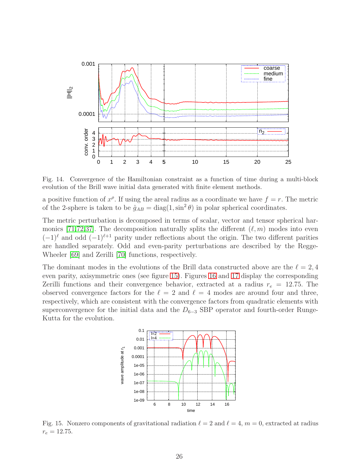

<span id="page-25-0"></span>Fig. 14. Convergence of the Hamiltonian constraint as a function of time during a multi-block evolution of the Brill wave initial data generated with finite element methods.

a positive function of  $x^{\rho}$ . If using the areal radius as a coordinate we have  $f = r$ . The metric of the 2-sphere is taken to be  $\hat{g}_{AB} = \text{diag}(1, \sin^2 \theta)$  in polar spherical coordinates.

The metric perturbation is decomposed in terms of scalar, vector and tensor spherical har-monics [\[71,](#page-32-2)[72,](#page-32-3)[37\]](#page-30-4). The decomposition naturally splits the different  $(\ell, m)$  modes into even  $(-1)^{\ell}$  and odd  $(-1)^{\ell+1}$  parity under reflections about the origin. The two different parities are handled separately. Odd and even-parity perturbations are described by the Regge-Wheeler [\[69\]](#page-32-0) and Zerilli [\[70\]](#page-32-1) functions, respectively.

The dominant modes in the evolutions of the Brill data constructed above are the  $\ell = 2, 4$ even parity, axisymmetric ones (see figure [15\)](#page-25-1). Figures [16](#page-26-0) and [17](#page-26-1) display the corresponding Zerilli functions and their convergence behavior, extracted at a radius  $r_e = 12.75$ . The observed convergence factors for the  $\ell = 2$  and  $\ell = 4$  modes are around four and three, respectively, which are consistent with the convergence factors from quadratic elements with superconvergence for the initial data and the  $D_{6-3}$  SBP operator and fourth-order Runge-Kutta for the evolution.



<span id="page-25-1"></span>Fig. 15. Nonzero components of gravitational radiation  $\ell = 2$  and  $\ell = 4$ ,  $m = 0$ , extracted at radius  $r_e = 12.75$ .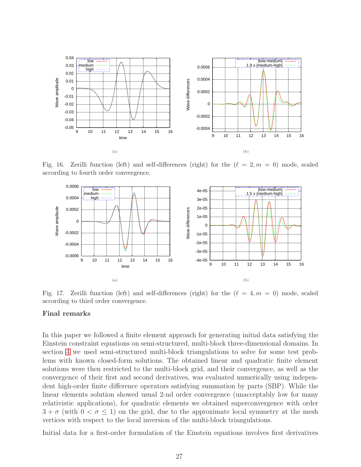

Fig. 16. Zerilli function (left) and self-differences (right) for the  $(\ell = 2, m = 0)$  mode, scaled according to fourth order convergence.

<span id="page-26-0"></span>

<span id="page-26-1"></span>Fig. 17. Zerilli function (left) and self-differences (right) for the  $(\ell = 4, m = 0)$  mode, scaled according to third order convergence.

#### Final remarks

In this paper we followed a finite element approach for generating initial data satisfying the Einstein constraint equations on semi-structured, multi-block three-dimensional domains. In section [4](#page-9-0) we used semi-structured multi-block triangulations to solve for some test problems with known closed-form solutions. The obtained linear and quadratic finite element solutions were then restricted to the multi-block grid, and their convergence, as well as the convergence of their first and second derivatives, was evaluated numerically using independent high-order finite difference operators satisfying summation by parts (SBP). While the linear elements solution showed usual 2-nd order convergence (unacceptably low for many relativistic applications), for quadratic elements we obtained superconvergence with order  $3 + \sigma$  (with  $0 < \sigma \le 1$ ) on the grid, due to the approximate local symmetry at the mesh vertices with respect to the local inversion of the multi-block triangulations.

Initial data for a first-order formulation of the Einstein equations involves first derivatives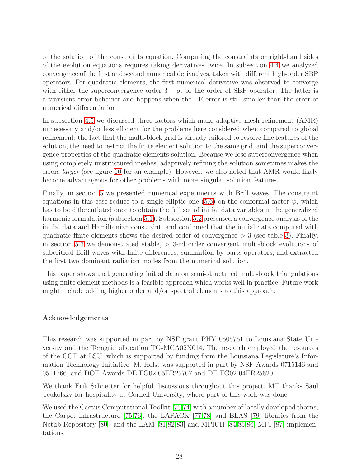of the solution of the constraints equation. Computing the constraints or right-hand sides of the evolution equations requires taking derivatives twice. In subsection [4.4](#page-13-0) we analyzed convergence of the first and second numerical derivatives, taken with different high-order SBP operators. For quadratic elements, the first numerical derivative was observed to converge with either the superconvergence order  $3 + \sigma$ , or the order of SBP operator. The latter is a transient error behavior and happens when the FE error is still smaller than the error of numerical differentiation.

In subsection [4.5](#page-18-0) we discussed three factors which make adaptive mesh refinement (AMR) unnecessary and/or less efficient for the problems here considered when compared to global refinement: the fact that the multi-block grid is already tailored to resolve fine features of the solution, the need to restrict the finite element solution to the same grid, and the superconvergence properties of the quadratic elements solution. Because we lose superconvergence when using completely unstructured meshes, adaptively refining the solution sometimes makes the errors *larger* (see figure [10](#page-19-0) for an example). However, we also noted that AMR would likely become advantageous for other problems with more singular solution features.

Finally, in section [5](#page-20-0) we presented numerical experiments with Brill waves. The constraint equations in this case reduce to a single elliptic one [\(5.6\)](#page-21-0) on the conformal factor  $\psi$ , which has to be differentiated once to obtain the full set of initial data variables in the generalized harmonic formulation (subsection [5.1\)](#page-22-0). Subsection [5.2](#page-22-1) presented a convergence analysis of the initial data and Hamiltonian constraint, and confirmed that the initial data computed with quadratic finite elements shows the desired order of convergence  $> 3$  (see table [3\)](#page-23-2). Finally, in section [5.3](#page-24-0) we demonstrated stable,  $>$  3-rd order convergent multi-block evolutions of subcritical Brill waves with finite differences, summation by parts operators, and extracted the first two dominant radiation modes from the numerical solution.

This paper shows that generating initial data on semi-structured multi-block triangulations using finite element methods is a feasible approach which works well in practice. Future work might include adding higher order and/or spectral elements to this approach.

# Acknowledgements

This research was supported in part by NSF grant PHY 0505761 to Louisiana State University and the Teragrid allocation TG-MCA02N014. The research employed the resources of the CCT at LSU, which is supported by funding from the Louisiana Legislature's Information Technology Initiative. M. Holst was supported in part by NSF Awards 0715146 and 0511766, and DOE Awards DE-FG02-05ER25707 and DE-FG02-04ER25620

We thank Erik Schnetter for helpful discussions throughout this project. MT thanks Saul Teukolsky for hospitality at Cornell University, where part of this work was done.

We used the Cactus Computational Toolkit [\[73](#page-32-4)[,74\]](#page-32-5) with a number of locally developed thorns, the Carpet infrastructure [\[75,](#page-32-6)[76\]](#page-32-7), the LAPACK [\[77,](#page-32-8)[78\]](#page-32-9) and BLAS [\[79\]](#page-32-10) libraries from the Netlib Repository [\[80\]](#page-32-11), and the LAM [\[81,](#page-32-12)[82,](#page-32-13)[83\]](#page-32-14) and MPICH [\[84](#page-32-15)[,85,](#page-32-16)[86\]](#page-33-0) MPI [\[87\]](#page-33-1) implementations.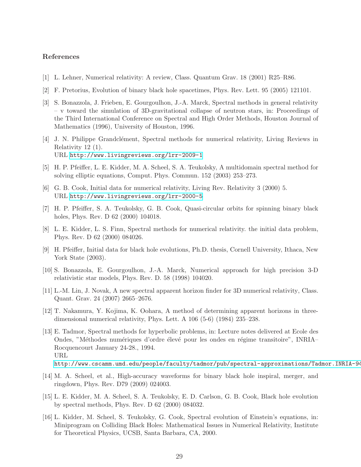## <span id="page-28-0"></span>References

- <span id="page-28-1"></span>[1] L. Lehner, Numerical relativity: A review, Class. Quantum Grav. 18 (2001) R25–R86.
- <span id="page-28-2"></span>[2] F. Pretorius, Evolution of binary black hole spacetimes, Phys. Rev. Lett. 95 (2005) 121101.
- [3] S. Bonazzola, J. Frieben, E. Gourgoulhon, J.-A. Marck, Spectral methods in general relativity – v toward the simulation of 3D-gravitational collapse of neutron stars, in: Proceedings of the Third International Conference on Spectral and High Order Methods, Houston Journal of Mathematics (1996), University of Houston, 1996.
- <span id="page-28-3"></span>[4] J. N. Philippe Grandclément, Spectral methods for numerical relativity, Living Reviews in Relativity 12 (1). URL <http://www.livingreviews.org/lrr-2009-1>
- <span id="page-28-5"></span><span id="page-28-4"></span>[5] H. P. Pfeiffer, L. E. Kidder, M. A. Scheel, S. A. Teukolsky, A multidomain spectral method for solving elliptic equations, Comput. Phys. Commun. 152 (2003) 253–273.
- <span id="page-28-6"></span>[6] G. B. Cook, Initial data for numerical relativity, Living Rev. Relativity 3 (2000) 5. URL <http://www.livingreviews.org/lrr-2000-5>
- <span id="page-28-7"></span>[7] H. P. Pfeiffer, S. A. Teukolsky, G. B. Cook, Quasi-circular orbits for spinning binary black holes, Phys. Rev. D 62 (2000) 104018.
- [8] L. E. Kidder, L. S. Finn, Spectral methods for numerical relativity. the initial data problem, Phys. Rev. D 62 (2000) 084026.
- <span id="page-28-8"></span>[9] H. Pfeiffer, Initial data for black hole evolutions, Ph.D. thesis, Cornell University, Ithaca, New York State  $(2003)$ .
- <span id="page-28-10"></span><span id="page-28-9"></span>[10] S. Bonazzola, E. Gourgoulhon, J.-A. Marck, Numerical approach for high precision 3-D relativistic star models, Phys. Rev. D. 58 (1998) 104020.
- <span id="page-28-11"></span>[11] L.-M. Lin, J. Novak, A new spectral apparent horizon finder for 3D numerical relativity, Class. Quant. Grav. 24 (2007) 2665–2676.
- <span id="page-28-12"></span>[12] T. Nakamura, Y. Kojima, K. Oohara, A method of determining apparent horizons in threedimensional numerical relativity, Phys. Lett. A 106 (5-6) (1984) 235–238.
- [13] E. Tadmor, Spectral methods for hyperbolic problems, in: Lecture notes delivered at Ecole des Ondes, "Méthodes numériques d'ordre élevé pour les ondes en régime transitoire", INRIA– Rocquencourt January 24-28., 1994. URL http://www.cscamm.umd.edu/people/faculty/tadmor/pub/spectral-approximations/Tadmor.INRIA-94
- <span id="page-28-13"></span>[14] M. A. Scheel, et al., High-accuracy waveforms for binary black hole inspiral, merger, and ringdown, Phys. Rev. D79 (2009) 024003.
- <span id="page-28-14"></span>[15] L. E. Kidder, M. A. Scheel, S. A. Teukolsky, E. D. Carlson, G. B. Cook, Black hole evolution by spectral methods, Phys. Rev. D 62 (2000) 084032.
- <span id="page-28-15"></span>[16] L. Kidder, M. Scheel, S. Teukolsky, G. Cook, Spectral evolution of Einstein's equations, in: Miniprogram on Colliding Black Holes: Mathematical Issues in Numerical Relativity, Institute for Theoretical Physics, UCSB, Santa Barbara, CA, 2000.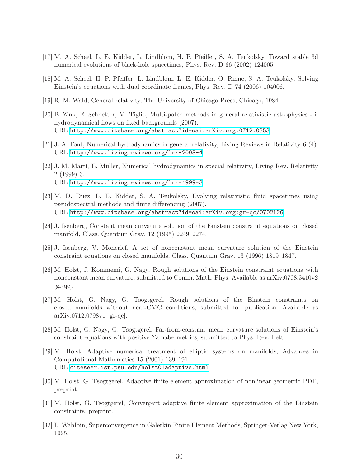- <span id="page-29-1"></span><span id="page-29-0"></span>[17] M. A. Scheel, L. E. Kidder, L. Lindblom, H. P. Pfeiffer, S. A. Teukolsky, Toward stable 3d numerical evolutions of black-hole spacetimes, Phys. Rev. D 66 (2002) 124005.
- <span id="page-29-2"></span>[18] M. A. Scheel, H. P. Pfeiffer, L. Lindblom, L. E. Kidder, O. Rinne, S. A. Teukolsky, Solving Einstein's equations with dual coordinate frames, Phys. Rev. D 74 (2006) 104006.
- <span id="page-29-3"></span>[19] R. M. Wald, General relativity, The University of Chicago Press, Chicago, 1984.
- [20] B. Zink, E. Schnetter, M. Tiglio, Multi-patch methods in general relativistic astrophysics i. hydrodynamical flows on fixed backgrounds (2007). URL <http://www.citebase.org/abstract?id=oai:arXiv.org:0712.0353>
- <span id="page-29-5"></span><span id="page-29-4"></span>[21] J. A. Font, Numerical hydrodynamics in general relativity, Living Reviews in Relativity 6 (4). URL <http://www.livingreviews.org/lrr-2003-4>
- [22] J. M. Martí, E. Müller, Numerical hydrodynamics in special relativity, Living Rev. Relativity 2 (1999) 3. URL <http://www.livingreviews.org/lrr-1999-3>
- <span id="page-29-6"></span>[23] M. D. Duez, L. E. Kidder, S. A. Teukolsky, Evolving relativistic fluid spacetimes using pseudospectral methods and finite differencing (2007). URL <http://www.citebase.org/abstract?id=oai:arXiv.org:gr-qc/0702126>
- <span id="page-29-8"></span><span id="page-29-7"></span>[24] J. Isenberg, Constant mean curvature solution of the Einstein constraint equations on closed manifold, Class. Quantum Grav. 12 (1995) 2249–2274.
- <span id="page-29-9"></span>[25] J. Isenberg, V. Moncrief, A set of nonconstant mean curvature solution of the Einstein constraint equations on closed manifolds, Class. Quantum Grav. 13 (1996) 1819–1847.
- [26] M. Holst, J. Kommemi, G. Nagy, Rough solutions of the Einstein constraint equations with nonconstant mean curvature, submitted to Comm. Math. Phys. Available as arXiv:0708.3410v2  $|gr-qc|$ .
- <span id="page-29-10"></span>[27] M. Holst, G. Nagy, G. Tsogtgerel, Rough solutions of the Einstein constraints on closed manifolds without near-CMC conditions, submitted for publication. Available as arXiv:0712.0798v1 [gr-qc].
- <span id="page-29-12"></span><span id="page-29-11"></span>[28] M. Holst, G. Nagy, G. Tsogtgerel, Far-from-constant mean curvature solutions of Einstein's constraint equations with positive Yamabe metrics, submitted to Phys. Rev. Lett.
- [29] M. Holst, Adaptive numerical treatment of elliptic systems on manifolds, Advances in Computational Mathematics 15 (2001) 139–191. URL <citeseer.ist.psu.edu/holst01adaptive.html>
- <span id="page-29-14"></span><span id="page-29-13"></span>[30] M. Holst, G. Tsogtgerel, Adaptive finite element approximation of nonlinear geometric PDE, preprint.
- [31] M. Holst, G. Tsogtgerel, Convergent adaptive finite element approximation of the Einstein constraints, preprint.
- <span id="page-29-15"></span>[32] L. Wahlbin, Superconvergence in Galerkin Finite Element Methods, Springer-Verlag New York, 1995.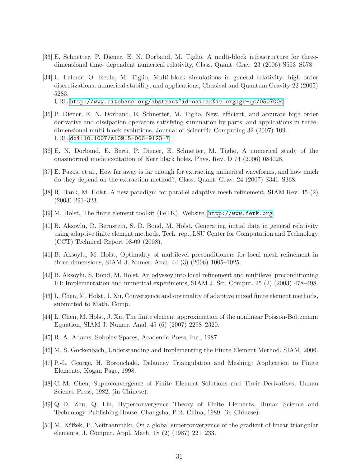- <span id="page-30-1"></span><span id="page-30-0"></span>[33] E. Schnetter, P. Diener, E. N. Dorband, M. Tiglio, A multi-block infrastructure for threedimensional time- dependent numerical relativity, Class. Quant. Grav. 23 (2006) S553–S578.
- [34] L. Lehner, O. Reula, M. Tiglio, Multi-block simulations in general relativity: high order discretizations, numerical stability, and applications, Classical and Quantum Gravity 22 (2005) 5283.

URL <http://www.citebase.org/abstract?id=oai:arXiv.org:gr-qc/0507004>

- <span id="page-30-2"></span>[35] P. Diener, E. N. Dorband, E. Schnetter, M. Tiglio, New, efficient, and accurate high order derivative and dissipation operators satisfying summation by parts, and applications in threedimensional multi-block evolutions, Journal of Scientific Computing 32 (2007) 109. URL <doi:10.1007/s10915-006-9123-7>
- <span id="page-30-4"></span><span id="page-30-3"></span>[36] E. N. Dorband, E. Berti, P. Diener, E. Schnetter, M. Tiglio, A numerical study of the quasinormal mode excitation of Kerr black holes, Phys. Rev. D 74 (2006) 084028.
- <span id="page-30-5"></span>[37] E. Pazos, et al., How far away is far enough for extracting numerical waveforms, and how much do they depend on the extraction method?, Class. Quant. Grav. 24 (2007) S341–S368.
- <span id="page-30-6"></span>[38] R. Bank, M. Holst, A new paradigm for parallel adaptive mesh refinement, SIAM Rev. 45 (2) (2003) 291–323.
- <span id="page-30-7"></span>[39] M. Holst, The finite element toolkit (FeTK), Website, <http://www.fetk.org>.
- [40] B. Aksoylu, D. Bernstein, S. D. Bond, M. Holst, Generating initial data in general relativity using adaptive finite element methods, Tech. rep., LSU Center for Computation and Technology (CCT) Technical Report 08-09 (2008).
- <span id="page-30-9"></span><span id="page-30-8"></span>[41] B. Aksoylu, M. Holst, Optimality of multilevel preconditioners for local mesh refinement in three dimensions, SIAM J. Numer. Anal. 44 (3) (2006) 1005–1025.
- [42] B. Aksoylu, S. Bond, M. Holst, An odyssey into local refinement and multilevel preconditioning III: Implementation and numerical experiments, SIAM J. Sci. Comput. 25 (2) (2003) 478–498.
- <span id="page-30-11"></span><span id="page-30-10"></span>[43] L. Chen, M. Holst, J. Xu, Convergence and optimality of adaptive mixed finite element methods, submitted to Math. Comp.
- <span id="page-30-12"></span>[44] L. Chen, M. Holst, J. Xu, The finite element approximation of the nonlinear Poisson-Boltzmann Equation, SIAM J. Numer. Anal. 45 (6) (2007) 2298–2320.
- <span id="page-30-13"></span>[45] R. A. Adams, Sobolev Spaces, Academic Press, Inc., 1987.
- <span id="page-30-14"></span>[46] M. S. Gockenbach, Understanding and Implementing the Finite Element Method, SIAM, 2006.
- [47] P.-L. George, H. Borouchaki, Delauney Triangulation and Meshing: Application to Finite Elements, Kogan Page, 1998.
- <span id="page-30-15"></span>[48] C.-M. Chen, Superconvergence of Finite Element Solutions and Their Derivatives, Hunan Science Press, 1982, (in Chinese).
- <span id="page-30-16"></span>[49] Q.-D. Zhu, Q. Lin, Hyperconvergence Theory of Finite Elements, Hunan Science and Technology Publishing House, Changsha, P.R. China, 1989, (in Chinese).
- <span id="page-30-17"></span>[50] M. Křížek, P. Neittaanmäki, On a global superconvergence of the gradient of linear triangular elements, J. Comput. Appl. Math. 18 (2) (1987) 221–233.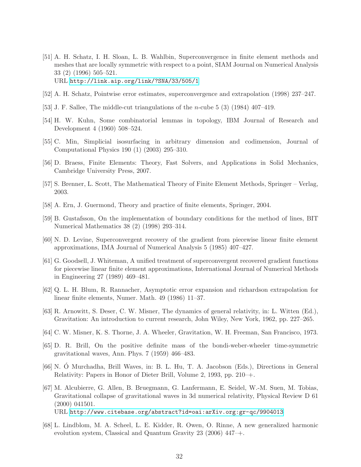- <span id="page-31-0"></span>[51] A. H. Schatz, I. H. Sloan, L. B. Wahlbin, Superconvergence in finite element methods and meshes that are locally symmetric with respect to a point, SIAM Journal on Numerical Analysis 33 (2) (1996) 505–521. URL <http://link.aip.org/link/?SNA/33/505/1>
- <span id="page-31-2"></span><span id="page-31-1"></span>[52] A. H. Schatz, Pointwise error estimates, superconvergence and extrapolation (1998) 237–247.
- <span id="page-31-3"></span>[53] J. F. Sallee, The middle-cut triangulations of the n-cube 5 (3) (1984) 407–419.
- <span id="page-31-4"></span>[54] H. W. Kuhn, Some combinatorial lemmas in topology, IBM Journal of Research and Development 4 (1960) 508–524.
- <span id="page-31-5"></span>[55] C. Min, Simplicial isosurfacing in arbitrary dimension and codimension, Journal of Computational Physics 190 (1) (2003) 295–310.
- <span id="page-31-6"></span>[56] D. Braess, Finite Elements: Theory, Fast Solvers, and Applications in Solid Mechanics, Cambridge University Press, 2007.
- <span id="page-31-7"></span>[57] S. Brenner, L. Scott, The Mathematical Theory of Finite Element Methods, Springer – Verlag, 2003.
- <span id="page-31-8"></span>[58] A. Ern, J. Guermond, Theory and practice of finite elements, Springer, 2004.
- <span id="page-31-9"></span>[59] B. Gustafsson, On the implementation of boundary conditions for the method of lines, BIT Numerical Mathematics 38 (2) (1998) 293–314.
- <span id="page-31-10"></span>[60] N. D. Levine, Superconvergent recovery of the gradient from piecewise linear finite element approximations, IMA Journal of Numerical Analysis 5 (1985) 407–427.
- [61] G. Goodsell, J. Whiteman, A unified treatment of superconvergent recovered gradient functions for piecewise linear finite element approximations, International Journal of Numerical Methods in Engineering 27 (1989) 469–481.
- <span id="page-31-11"></span>[62] Q. L. H. Blum, R. Rannacher, Asymptotic error expansion and richardson extrapolation for linear finite elements, Numer. Math. 49 (1986) 11–37.
- <span id="page-31-13"></span><span id="page-31-12"></span>[63] R. Arnowitt, S. Deser, C. W. Misner, The dynamics of general relativity, in: L. Witten (Ed.), Gravitation: An introduction to current research, John Wiley, New York, 1962, pp. 227–265.
- <span id="page-31-14"></span>[64] C. W. Misner, K. S. Thorne, J. A. Wheeler, Gravitation, W. H. Freeman, San Francisco, 1973.
- [65] D. R. Brill, On the positive definite mass of the bondi-weber-wheeler time-symmetric gravitational waves, Ann. Phys. 7 (1959) 466–483.
- <span id="page-31-15"></span>[66] N. O Murchadha, Brill Waves, in: B. L. Hu, T. A. Jacobson (Eds.), Directions in General Relativity: Papers in Honor of Dieter Brill, Volume 2, 1993, pp. 210–+.
- <span id="page-31-16"></span>[67] M. Alcubierre, G. Allen, B. Bruegmann, G. Lanfermann, E. Seidel, W.-M. Suen, M. Tobias, Gravitational collapse of gravitational waves in 3d numerical relativity, Physical Review D 61 (2000) 041501. URL <http://www.citebase.org/abstract?id=oai:arXiv.org:gr-qc/9904013>
- <span id="page-31-17"></span>[68] L. Lindblom, M. A. Scheel, L. E. Kidder, R. Owen, O. Rinne, A new generalized harmonic evolution system, Classical and Quantum Gravity 23 (2006) 447–+.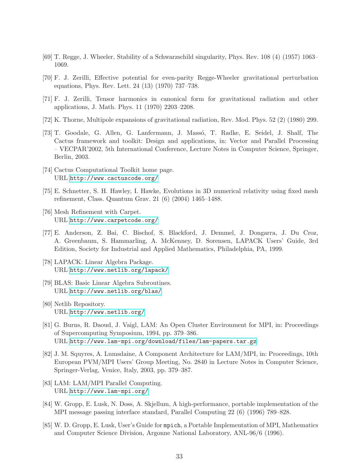- <span id="page-32-1"></span><span id="page-32-0"></span>[69] T. Regge, J. Wheeler, Stability of a Schwarzschild singularity, Phys. Rev. 108 (4) (1957) 1063– 1069.
- <span id="page-32-2"></span>[70] F. J. Zerilli, Effective potential for even-parity Regge-Wheeler gravitational perturbation equations, Phys. Rev. Lett. 24 (13) (1970) 737–738.
- <span id="page-32-3"></span>[71] F. J. Zerilli, Tensor harmonics in canonical form for gravitational radiation and other applications, J. Math. Phys. 11 (1970) 2203–2208.
- <span id="page-32-4"></span>[72] K. Thorne, Multipole expansions of gravitational radiation, Rev. Mod. Phys. 52 (2) (1980) 299.
- [73] T. Goodale, G. Allen, G. Lanfermann, J. Massó, T. Radke, E. Seidel, J. Shalf, The Cactus framework and toolkit: Design and applications, in: Vector and Parallel Processing – VECPAR'2002, 5th International Conference, Lecture Notes in Computer Science, Springer, Berlin, 2003.
- <span id="page-32-6"></span><span id="page-32-5"></span>[74] Cactus Computational Toolkit home page. URL <http://www.cactuscode.org/>
- <span id="page-32-7"></span>[75] E. Schnetter, S. H. Hawley, I. Hawke, Evolutions in 3D numerical relativity using fixed mesh refinement, Class. Quantum Grav. 21 (6) (2004) 1465–1488.
- <span id="page-32-8"></span>[76] Mesh Refinement with Carpet. URL <http://www.carpetcode.org/>
- [77] E. Anderson, Z. Bai, C. Bischof, S. Blackford, J. Demmel, J. Dongarra, J. Du Croz, A. Greenbaum, S. Hammarling, A. McKenney, D. Sorensen, LAPACK Users' Guide, 3rd Edition, Society for Industrial and Applied Mathematics, Philadelphia, PA, 1999.
- <span id="page-32-10"></span><span id="page-32-9"></span>[78] LAPACK: Linear Algebra Package. URL <http://www.netlib.org/lapack/>
- [79] BLAS: Basic Linear Algebra Subroutines. URL <http://www.netlib.org/blas/>
- <span id="page-32-12"></span><span id="page-32-11"></span>[80] Netlib Repository. URL <http://www.netlib.org/>
- [81] G. Burns, R. Daoud, J. Vaigl, LAM: An Open Cluster Environment for MPI, in: Proceedings of Supercomputing Symposium, 1994, pp. 379–386. URL [http://www.lam-mpi.org/download/files/lam-papers.tar.gz](http://www.lam-mpi.org/ download/files/lam-papers.tar.gz)
- <span id="page-32-13"></span>[82] J. M. Squyres, A. Lumsdaine, A Component Architecture for LAM/MPI, in: Proceedings, 10th European PVM/MPI Users' Group Meeting, No. 2840 in Lecture Notes in Computer Science, Springer-Verlag, Venice, Italy, 2003, pp. 379–387.
- <span id="page-32-14"></span>[83] LAM: LAM/MPI Parallel Computing. URL <http://www.lam-mpi.org/>
- <span id="page-32-15"></span>[84] W. Gropp, E. Lusk, N. Doss, A. Skjellum, A high-performance, portable implementation of the MPI message passing interface standard, Parallel Computing 22 (6) (1996) 789–828.
- <span id="page-32-16"></span>[85] W. D. Gropp, E. Lusk, User's Guide for mpich, a Portable Implementation of MPI, Mathematics and Computer Science Division, Argonne National Laboratory, ANL-96/6 (1996).